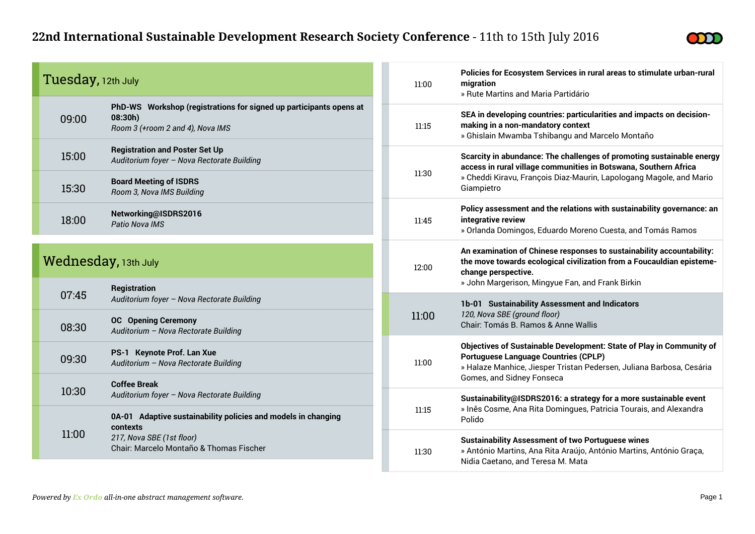

| Tuesday, 12th July   |                                                                                                                   | 11:00 | Policies for Ecosystem Services in rural areas to stimulate urban-rural<br>migration<br>» Rute Martins and Maria Partidário                                                                                               |  |  |
|----------------------|-------------------------------------------------------------------------------------------------------------------|-------|---------------------------------------------------------------------------------------------------------------------------------------------------------------------------------------------------------------------------|--|--|
| 09:00                | PhD-WS Workshop (registrations for signed up participants opens at<br>08:30h)<br>Room 3 (+room 2 and 4), Nova IMS | 11:15 | SEA in developing countries: particularities and impacts on decision-<br>making in a non-mandatory context<br>» Ghislain Mwamba Tshibangu and Marcelo Montaño                                                             |  |  |
| 15:00                | <b>Registration and Poster Set Up</b><br>Auditorium foyer - Nova Rectorate Building                               | 11:30 | Scarcity in abundance: The challenges of promoting sustainable energy<br>access in rural village communities in Botswana, Southern Africa                                                                                 |  |  |
| 15:30                | <b>Board Meeting of ISDRS</b><br>Room 3, Nova IMS Building                                                        |       | » Cheddi Kiravu, François Diaz-Maurin, Lapologang Magole, and Mario<br>Giampietro                                                                                                                                         |  |  |
| 18:00                | Networking@ISDRS2016<br>Patio Nova IMS                                                                            | 11:45 | Policy assessment and the relations with sustainability governance: an<br>integrative review<br>» Orlanda Domingos, Eduardo Moreno Cuesta, and Tomás Ramos                                                                |  |  |
| Wednesday, 13th July |                                                                                                                   | 12:00 | An examination of Chinese responses to sustainability accountability:<br>the move towards ecological civilization from a Foucauldian episteme-<br>change perspective.<br>» John Margerison, Mingyue Fan, and Frank Birkin |  |  |
| 07:45                | <b>Registration</b><br>Auditorium foyer - Nova Rectorate Building                                                 |       | 1b-01 Sustainability Assessment and Indicators                                                                                                                                                                            |  |  |
| 08:30                | <b>OC</b> Opening Ceremony<br>Auditorium - Nova Rectorate Building                                                | 11:00 | 120, Nova SBE (ground floor)<br>Chair: Tomás B. Ramos & Anne Wallis                                                                                                                                                       |  |  |
| 09:30                | PS-1 Keynote Prof. Lan Xue<br>Auditorium - Nova Rectorate Building                                                | 11:00 | Objectives of Sustainable Development: State of Play in Community of<br><b>Portuguese Language Countries (CPLP)</b><br>» Halaze Manhice, Jiesper Tristan Pedersen, Juliana Barbosa, Cesária<br>Gomes, and Sidney Fonseca  |  |  |
| 10:30                | <b>Coffee Break</b><br>Auditorium foyer - Nova Rectorate Building                                                 |       | Sustainability@ISDRS2016: a strategy for a more sustainable event                                                                                                                                                         |  |  |
|                      | 0A-01 Adaptive sustainability policies and models in changing<br>contexts                                         | 11:15 | » Inês Cosme, Ana Rita Domingues, Patricia Tourais, and Alexandra<br>Polido                                                                                                                                               |  |  |
| 11:00                | 217, Nova SBE (1st floor)<br>Chair: Marcelo Montaño & Thomas Fischer                                              | 11:30 | <b>Sustainability Assessment of two Portuguese wines</b><br>» António Martins, Ana Rita Araújo, António Martins, António Graça,<br>Nidia Caetano, and Teresa M. Mata                                                      |  |  |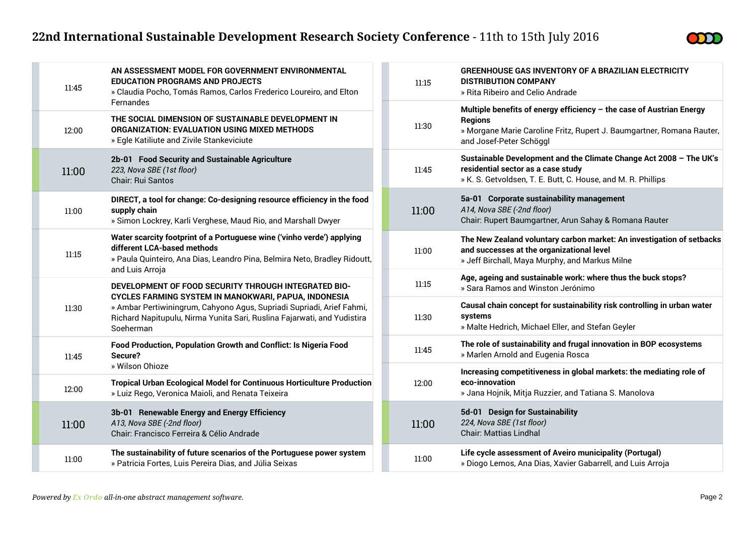

| 11:45 | AN ASSESSMENT MODEL FOR GOVERNMENT ENVIRONMENTAL<br><b>EDUCATION PROGRAMS AND PROJECTS</b><br>» Claudia Pocho, Tomás Ramos, Carlos Frederico Loureiro, and Elton                                                      | 11:15 | <b>GREENHOUSE GAS INVENTORY OF A BRAZILIAN ELECTRICITY</b><br><b>DISTRIBUTION COMPANY</b><br>» Rita Ribeiro and Celio Andrade                                                              |
|-------|-----------------------------------------------------------------------------------------------------------------------------------------------------------------------------------------------------------------------|-------|--------------------------------------------------------------------------------------------------------------------------------------------------------------------------------------------|
| 12:00 | Fernandes<br>THE SOCIAL DIMENSION OF SUSTAINABLE DEVELOPMENT IN<br><b>ORGANIZATION: EVALUATION USING MIXED METHODS</b><br>» Egle Katiliute and Zivile Stankeviciute                                                   | 11:30 | Multiple benefits of energy efficiency - the case of Austrian Energy<br><b>Regions</b><br>» Morgane Marie Caroline Fritz, Rupert J. Baumgartner, Romana Rauter,<br>and Josef-Peter Schöggl |
| 11:00 | 2b-01 Food Security and Sustainable Agriculture<br>223, Nova SBE (1st floor)<br>Chair: Rui Santos                                                                                                                     | 11:45 | Sustainable Development and the Climate Change Act 2008 - The UK's<br>residential sector as a case study<br>» K. S. Getvoldsen, T. E. Butt, C. House, and M. R. Phillips                   |
| 11:00 | DIRECT, a tool for change: Co-designing resource efficiency in the food<br>supply chain<br>» Simon Lockrey, Karli Verghese, Maud Rio, and Marshall Dwyer                                                              | 11:00 | 5a-01 Corporate sustainability management<br>A14, Nova SBE (-2nd floor)<br>Chair: Rupert Baumgartner, Arun Sahay & Romana Rauter                                                           |
| 11:15 | Water scarcity footprint of a Portuguese wine ('vinho verde') applying<br>different LCA-based methods<br>» Paula Quinteiro, Ana Dias, Leandro Pina, Belmira Neto, Bradley Ridoutt,                                    | 11:00 | The New Zealand voluntary carbon market: An investigation of setbacks<br>and successes at the organizational level<br>» Jeff Birchall, Maya Murphy, and Markus Milne                       |
|       | and Luis Arroja<br>DEVELOPMENT OF FOOD SECURITY THROUGH INTEGRATED BIO-                                                                                                                                               | 11:15 | Age, ageing and sustainable work: where thus the buck stops?<br>» Sara Ramos and Winston Jerónimo                                                                                          |
| 11:30 | CYCLES FARMING SYSTEM IN MANOKWARI, PAPUA, INDONESIA<br>» Ambar Pertiwiningrum, Cahyono Agus, Supriadi Supriadi, Arief Fahmi,<br>Richard Napitupulu, Nirma Yunita Sari, Ruslina Fajarwati, and Yudistira<br>Soeherman | 11:30 | Causal chain concept for sustainability risk controlling in urban water<br>systems<br>» Malte Hedrich, Michael Eller, and Stefan Geyler                                                    |
| 11:45 | Food Production, Population Growth and Conflict: Is Nigeria Food<br>Secure?                                                                                                                                           | 11:45 | The role of sustainability and frugal innovation in BOP ecosystems<br>» Marlen Arnold and Eugenia Rosca                                                                                    |
| 12:00 | » Wilson Ohioze<br><b>Tropical Urban Ecological Model for Continuous Horticulture Production</b><br>» Luiz Rego, Veronica Maioli, and Renata Teixeira                                                                 | 12:00 | Increasing competitiveness in global markets: the mediating role of<br>eco-innovation<br>» Jana Hojnik, Mitja Ruzzier, and Tatiana S. Manolova                                             |
| 11:00 | 3b-01 Renewable Energy and Energy Efficiency<br>A13, Nova SBE (-2nd floor)<br>Chair: Francisco Ferreira & Célio Andrade                                                                                               | 11:00 | 5d-01 Design for Sustainability<br>224, Nova SBE (1st floor)<br><b>Chair: Mattias Lindhal</b>                                                                                              |
| 11:00 | The sustainability of future scenarios of the Portuguese power system<br>» Patricia Fortes, Luis Pereira Dias, and Júlia Seixas                                                                                       | 11:00 | Life cycle assessment of Aveiro municipality (Portugal)<br>» Diogo Lemos, Ana Dias, Xavier Gabarrell, and Luis Arroja                                                                      |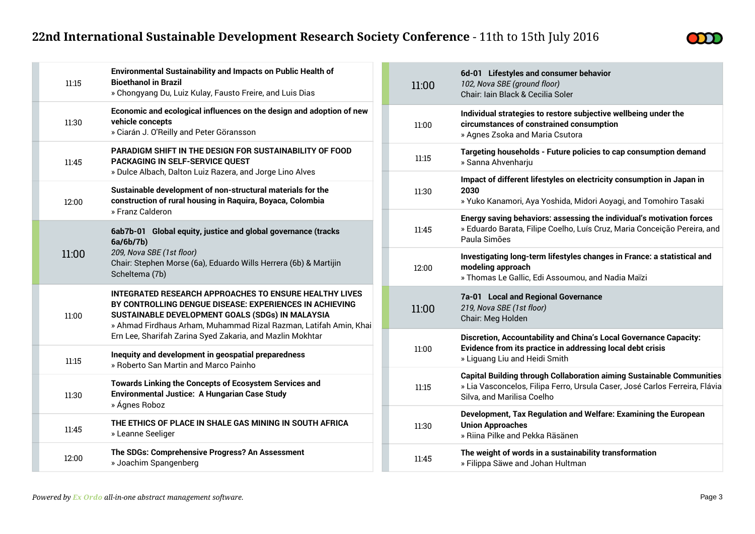

| 11:15 | <b>Environmental Sustainability and Impacts on Public Health of</b><br><b>Bioethanol in Brazil</b><br>» Chongyang Du, Luiz Kulay, Fausto Freire, and Luis Dias                                                                                                                                          |
|-------|---------------------------------------------------------------------------------------------------------------------------------------------------------------------------------------------------------------------------------------------------------------------------------------------------------|
| 11:30 | Economic and ecological influences on the design and adoption of new<br>vehicle concepts<br>» Ciarán J. O'Reilly and Peter Göransson                                                                                                                                                                    |
| 11:45 | <b>PARADIGM SHIFT IN THE DESIGN FOR SUSTAINABILITY OF FOOD</b><br>PACKAGING IN SELF-SERVICE QUEST<br>» Dulce Albach, Dalton Luiz Razera, and Jorge Lino Alves                                                                                                                                           |
| 12:00 | Sustainable development of non-structural materials for the<br>construction of rural housing in Raquira, Boyaca, Colombia<br>» Franz Calderon                                                                                                                                                           |
| 11:00 | 6ab7b-01 Global equity, justice and global governance (tracks<br>6a/6b/7b)<br>209, Nova SBE (1st floor)<br>Chair: Stephen Morse (6a), Eduardo Wills Herrera (6b) & Martijin<br>Scheltema (7b)                                                                                                           |
| 11:00 | INTEGRATED RESEARCH APPROACHES TO ENSURE HEALTHY LIVES<br>BY CONTROLLING DENGUE DISEASE: EXPERIENCES IN ACHIEVING<br>SUSTAINABLE DEVELOPMENT GOALS (SDGs) IN MALAYSIA<br>» Ahmad Firdhaus Arham, Muhammad Rizal Razman, Latifah Amin, Khai<br>Ern Lee, Sharifah Zarina Syed Zakaria, and Mazlin Mokhtar |
| 11:15 | Inequity and development in geospatial preparedness<br>» Roberto San Martin and Marco Painho                                                                                                                                                                                                            |
| 11:30 | Towards Linking the Concepts of Ecosystem Services and<br>Environmental Justice: A Hungarian Case Study<br>» Ágnes Roboz                                                                                                                                                                                |
| 11:45 | THE ETHICS OF PLACE IN SHALE GAS MINING IN SOUTH AFRICA<br>» Leanne Seeliger                                                                                                                                                                                                                            |
| 12:00 | The SDGs: Comprehensive Progress? An Assessment<br>» Joachim Spangenberg                                                                                                                                                                                                                                |

| 11:00 | 6d-01 Lifestyles and consumer behavior<br>102, Nova SBE (ground floor)<br>Chair: Iain Black & Cecilia Soler                                                                               |
|-------|-------------------------------------------------------------------------------------------------------------------------------------------------------------------------------------------|
| 11:00 | Individual strategies to restore subjective wellbeing under the<br>circumstances of constrained consumption<br>» Agnes Zsoka and Maria Csutora                                            |
| 11:15 | Targeting households - Future policies to cap consumption demand<br>» Sanna Ahvenharju                                                                                                    |
| 11:30 | Impact of different lifestyles on electricity consumption in Japan in<br>2030<br>» Yuko Kanamori, Aya Yoshida, Midori Aoyagi, and Tomohiro Tasaki                                         |
| 11:45 | Energy saving behaviors: assessing the individual's motivation forces<br>» Eduardo Barata, Filipe Coelho, Luís Cruz, Maria Conceição Pereira, and<br>Paula Simões                         |
| 12:00 | Investigating long-term lifestyles changes in France: a statistical and<br>modeling approach<br>» Thomas Le Gallic, Edi Assoumou, and Nadia Maïzi                                         |
| 11:00 | 7a-01 Local and Regional Governance<br>219, Nova SBE (1st floor)<br>Chair: Meg Holden                                                                                                     |
| 11:00 | Discretion, Accountability and China's Local Governance Capacity:<br>Evidence from its practice in addressing local debt crisis<br>» Liguang Liu and Heidi Smith                          |
| 11:15 | <b>Capital Building through Collaboration aiming Sustainable Communities</b><br>» Lia Vasconcelos, Filipa Ferro, Ursula Caser, José Carlos Ferreira, Flávia<br>Silva, and Marilisa Coelho |
| 11:30 | Development, Tax Regulation and Welfare: Examining the European<br><b>Union Approaches</b><br>» Riina Pilke and Pekka Räsänen                                                             |
| 11:45 | The weight of words in a sustainability transformation<br>» Filippa Säwe and Johan Hultman                                                                                                |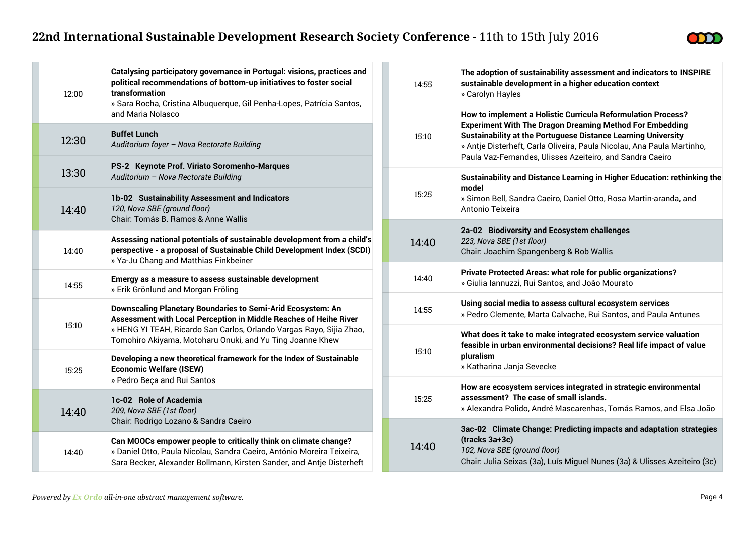

| 12:00 | Catalysing participatory governance in Portugal: visions, practices and<br>political recommendations of bottom-up initiatives to foster social<br>transformation<br>» Sara Rocha, Cristina Albuquerque, Gil Penha-Lopes, Patrícia Santos, |  | 14:55 | The adoption of sustainability assessment and indicators to INSPIRE<br>sustainable development in a higher education context<br>» Carolyn Hayles                                                            |
|-------|-------------------------------------------------------------------------------------------------------------------------------------------------------------------------------------------------------------------------------------------|--|-------|-------------------------------------------------------------------------------------------------------------------------------------------------------------------------------------------------------------|
|       | and Maria Nolasco                                                                                                                                                                                                                         |  |       | How to implement a Holistic Curricula Reformulation Process?<br><b>Experiment With The Dragon Dreaming Method For Embedding</b>                                                                             |
| 12:30 | <b>Buffet Lunch</b><br>Auditorium foyer - Nova Rectorate Building                                                                                                                                                                         |  | 15:10 | <b>Sustainability at the Portuguese Distance Learning University</b><br>» Antje Disterheft, Carla Oliveira, Paula Nicolau, Ana Paula Martinho,<br>Paula Vaz-Fernandes, Ulisses Azeiteiro, and Sandra Caeiro |
| 13:30 | PS-2 Keynote Prof. Viriato Soromenho-Marques<br>Auditorium - Nova Rectorate Building                                                                                                                                                      |  |       | Sustainability and Distance Learning in Higher Education: rethinking the                                                                                                                                    |
| 14:40 | 1b-02 Sustainability Assessment and Indicators<br>120, Nova SBE (ground floor)<br>Chair: Tomás B. Ramos & Anne Wallis                                                                                                                     |  | 15:25 | model<br>» Simon Bell, Sandra Caeiro, Daniel Otto, Rosa Martin-aranda, and<br>Antonio Teixeira                                                                                                              |
| 14:40 | Assessing national potentials of sustainable development from a child's<br>perspective - a proposal of Sustainable Child Development Index (SCDI)<br>» Ya-Ju Chang and Matthias Finkbeiner                                                |  | 14:40 | 2a-02 Biodiversity and Ecosystem challenges<br>223, Nova SBE (1st floor)<br>Chair: Joachim Spangenberg & Rob Wallis                                                                                         |
| 14:55 | Emergy as a measure to assess sustainable development<br>» Erik Grönlund and Morgan Fröling                                                                                                                                               |  | 14:40 | Private Protected Areas: what role for public organizations?<br>» Giulia Iannuzzi, Rui Santos, and João Mourato                                                                                             |
|       | Downscaling Planetary Boundaries to Semi-Arid Ecosystem: An<br>Assessment with Local Perception in Middle Reaches of Heihe River                                                                                                          |  | 14:55 | Using social media to assess cultural ecosystem services<br>» Pedro Clemente, Marta Calvache, Rui Santos, and Paula Antunes                                                                                 |
| 15:10 | » HENG YI TEAH, Ricardo San Carlos, Orlando Vargas Rayo, Sijia Zhao,<br>Tomohiro Akiyama, Motoharu Onuki, and Yu Ting Joanne Khew                                                                                                         |  |       | What does it take to make integrated ecosystem service valuation<br>feasible in urban environmental decisions? Real life impact of value                                                                    |
| 15:25 | Developing a new theoretical framework for the Index of Sustainable<br><b>Economic Welfare (ISEW)</b>                                                                                                                                     |  | 15:10 | pluralism<br>» Katharina Janja Sevecke                                                                                                                                                                      |
|       | » Pedro Beça and Rui Santos<br>1c-02 Role of Academia                                                                                                                                                                                     |  | 15:25 | How are ecosystem services integrated in strategic environmental<br>assessment? The case of small islands.                                                                                                  |
| 14:40 | 209, Nova SBE (1st floor)<br>Chair: Rodrigo Lozano & Sandra Caeiro                                                                                                                                                                        |  |       | » Alexandra Polido, André Mascarenhas, Tomás Ramos, and Elsa João                                                                                                                                           |
| 14:40 | Can MOOCs empower people to critically think on climate change?<br>» Daniel Otto, Paula Nicolau, Sandra Caeiro, António Moreira Teixeira,<br>Sara Becker, Alexander Bollmann, Kirsten Sander, and Antje Disterheft                        |  | 14:40 | 3ac-02 Climate Change: Predicting impacts and adaptation strategies<br>(tracks 3a+3c)<br>102, Nova SBE (ground floor)<br>Chair: Julia Seixas (3a), Luís Miguel Nunes (3a) & Ulisses Azeiteiro (3c)          |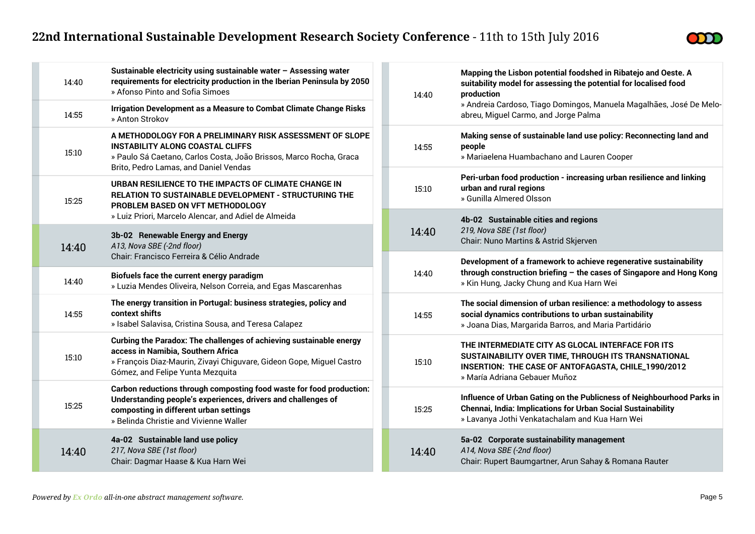

| 14:40 | Sustainable electricity using sustainable water - Assessing water<br>requirements for electricity production in the Iberian Peninsula by 2050<br>» Afonso Pinto and Sofia Simoes                                          |  | 14:40 | Mapping the Lisbon potential foodshed in Ribatejo and Oeste. A<br>suitability model for assessing the potential for localised food<br>production                                                 |
|-------|---------------------------------------------------------------------------------------------------------------------------------------------------------------------------------------------------------------------------|--|-------|--------------------------------------------------------------------------------------------------------------------------------------------------------------------------------------------------|
| 14:55 | Irrigation Development as a Measure to Combat Climate Change Risks<br>» Anton Strokov                                                                                                                                     |  |       | » Andreia Cardoso, Tiago Domingos, Manuela Magalhães, José De Melo-<br>abreu, Miguel Carmo, and Jorge Palma                                                                                      |
| 15:10 | A METHODOLOGY FOR A PRELIMINARY RISK ASSESSMENT OF SLOPE<br><b>INSTABILITY ALONG COASTAL CLIFFS</b><br>» Paulo Sá Caetano, Carlos Costa, João Brissos, Marco Rocha, Graca<br>Brito, Pedro Lamas, and Daniel Vendas        |  | 14:55 | Making sense of sustainable land use policy: Reconnecting land and<br>people<br>» Mariaelena Huambachano and Lauren Cooper                                                                       |
| 15:25 | URBAN RESILIENCE TO THE IMPACTS OF CLIMATE CHANGE IN<br>RELATION TO SUSTAINABLE DEVELOPMENT - STRUCTURING THE<br>PROBLEM BASED ON VFT METHODOLOGY                                                                         |  | 15:10 | Peri-urban food production - increasing urban resilience and linking<br>urban and rural regions<br>» Gunilla Almered Olsson                                                                      |
| 14:40 | » Luiz Priori, Marcelo Alencar, and Adiel de Almeida<br>3b-02 Renewable Energy and Energy<br>A13, Nova SBE (-2nd floor)                                                                                                   |  | 14:40 | 4b-02 Sustainable cities and regions<br>219, Nova SBE (1st floor)<br>Chair: Nuno Martins & Astrid Skjerven                                                                                       |
|       | Chair: Francisco Ferreira & Célio Andrade                                                                                                                                                                                 |  |       | Development of a framework to achieve regenerative sustainability                                                                                                                                |
| 14:40 | Biofuels face the current energy paradigm<br>» Luzia Mendes Oliveira, Nelson Correia, and Egas Mascarenhas                                                                                                                |  | 14:40 | through construction briefing - the cases of Singapore and Hong Kong<br>» Kin Hung, Jacky Chung and Kua Harn Wei                                                                                 |
| 14:55 | The energy transition in Portugal: business strategies, policy and<br>context shifts<br>» Isabel Salavisa, Cristina Sousa, and Teresa Calapez                                                                             |  | 14:55 | The social dimension of urban resilience: a methodology to assess<br>social dynamics contributions to urban sustainability<br>» Joana Dias, Margarida Barros, and Maria Partidário               |
| 15:10 | Curbing the Paradox: The challenges of achieving sustainable energy<br>access in Namibia, Southern Africa<br>» François Diaz-Maurin, Zivayi Chiguvare, Gideon Gope, Miguel Castro<br>Gómez, and Felipe Yunta Mezquita     |  | 15:10 | THE INTERMEDIATE CITY AS GLOCAL INTERFACE FOR ITS<br>SUSTAINABILITY OVER TIME, THROUGH ITS TRANSNATIONAL<br>INSERTION: THE CASE OF ANTOFAGASTA, CHILE_1990/2012<br>» María Adriana Gebauer Muñoz |
| 15:25 | Carbon reductions through composting food waste for food production:<br>Understanding people's experiences, drivers and challenges of<br>composting in different urban settings<br>» Belinda Christie and Vivienne Waller |  | 15:25 | Influence of Urban Gating on the Publicness of Neighbourhood Parks in<br>Chennai, India: Implications for Urban Social Sustainability<br>» Lavanya Jothi Venkatachalam and Kua Harn Wei          |
| 14:40 | 4a-02 Sustainable land use policy<br>217, Nova SBE (1st floor)<br>Chair: Dagmar Haase & Kua Harn Wei                                                                                                                      |  | 14:40 | 5a-02 Corporate sustainability management<br>A14, Nova SBE (-2nd floor)<br>Chair: Rupert Baumgartner, Arun Sahay & Romana Rauter                                                                 |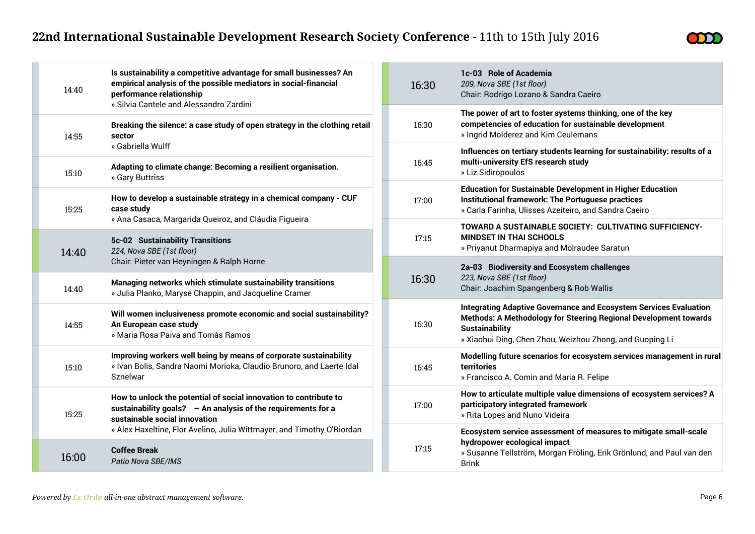

| 14:40           | Is sustainability a competitive advantage for small businesses? An<br>empirical analysis of the possible mediators in social-financial<br>performance relationship<br>» Silvia Cantele and Alessandro Zardini | 16:30 | 1c-03 Role of Academia<br>209, Nova SBE (1st floor)<br>Chair: Rodrigo Lozano & Sandra Caeiro                                                                                                                                      |
|-----------------|---------------------------------------------------------------------------------------------------------------------------------------------------------------------------------------------------------------|-------|-----------------------------------------------------------------------------------------------------------------------------------------------------------------------------------------------------------------------------------|
| sector<br>14:55 | Breaking the silence: a case study of open strategy in the clothing retail                                                                                                                                    | 16:30 | The power of art to foster systems thinking, one of the key<br>competencies of education for sustainable development<br>» Ingrid Molderez and Kim Ceulemans                                                                       |
| 15:10           | » Gabriella Wulff<br>Adapting to climate change: Becoming a resilient organisation.<br>» Gary Buttriss                                                                                                        | 16:45 | Influences on tertiary students learning for sustainability: results of a<br>multi-university EfS research study<br>» Liz Sidiropoulos                                                                                            |
| 15:25           | How to develop a sustainable strategy in a chemical company - CUF<br>case study                                                                                                                               | 17:00 | <b>Education for Sustainable Development in Higher Education</b><br>Institutional framework: The Portuguese practices<br>» Carla Farinha, Ulisses Azeiteiro, and Sandra Caeiro                                                    |
| 14:40           | » Ana Casaca, Margarida Queiroz, and Cláudia Figueira<br>5c-02 Sustainability Transitions<br>224, Nova SBE (1st floor)                                                                                        | 17:15 | TOWARD A SUSTAINABLE SOCIETY: CULTIVATING SUFFICIENCY-<br><b>MINDSET IN THAI SCHOOLS</b><br>» Priyanut Dharmapiya and Molraudee Saratun                                                                                           |
| 14:40           | Chair: Pieter van Heyningen & Ralph Horne<br>Managing networks which stimulate sustainability transitions<br>» Julia Planko, Maryse Chappin, and Jacqueline Cramer                                            | 16:30 | 2a-03 Biodiversity and Ecosystem challenges<br>223, Nova SBE (1st floor)<br>Chair: Joachim Spangenberg & Rob Wallis                                                                                                               |
| 14:55           | Will women inclusiveness promote economic and social sustainability?<br>An European case study<br>» Maria Rosa Paiva and Tomás Ramos                                                                          | 16:30 | <b>Integrating Adaptive Governance and Ecosystem Services Evaluation</b><br>Methods: A Methodology for Steering Regional Development towards<br><b>Sustainability</b><br>» Xiaohui Ding, Chen Zhou, Weizhou Zhong, and Guoping Li |
| 15:10           | Improving workers well being by means of corporate sustainability<br>» Ivan Bolis, Sandra Naomi Morioka, Claudio Brunoro, and Laerte Idal<br>Sznelwar                                                         | 16:45 | Modelling future scenarios for ecosystem services management in rural<br>territories<br>» Francisco A. Comin and Maria R. Felipe                                                                                                  |
| 15:25           | How to unlock the potential of social innovation to contribute to<br>sustainability goals? - An analysis of the requirements for a<br>sustainable social innovation                                           | 17:00 | How to articulate multiple value dimensions of ecosystem services? A<br>participatory integrated framework<br>» Rita Lopes and Nuno Videira                                                                                       |
| 16:00           | » Alex Haxeltine, Flor Avelino, Julia Wittmayer, and Timothy O'Riordan<br><b>Coffee Break</b><br>Patio Nova SBE/IMS                                                                                           | 17:15 | Ecosystem service assessment of measures to mitigate small-scale<br>hydropower ecological impact<br>» Susanne Tellström, Morgan Fröling, Erik Grönlund, and Paul van den<br><b>Brink</b>                                          |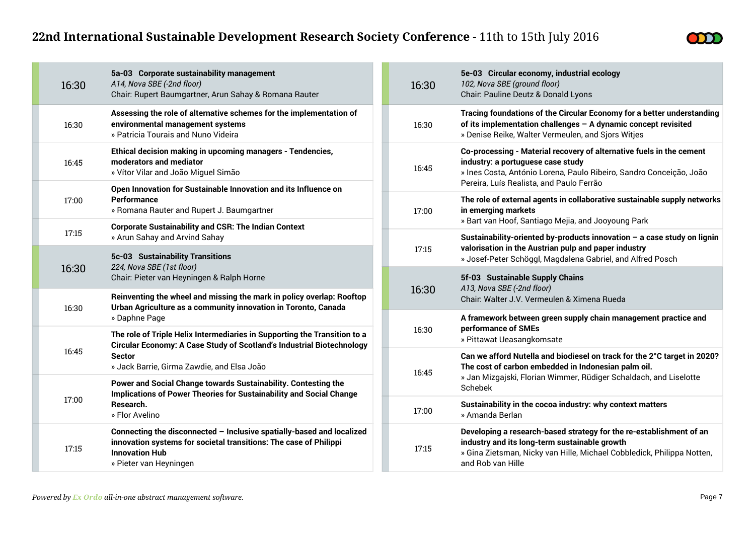

|       | 16:30 | 5a-03 Corporate sustainability management<br>A14, Nova SBE (-2nd floor)<br>Chair: Rupert Baumgartner, Arun Sahay & Romana Rauter                                                                                                                                                                                                                                              |  | 16:30 | 5e-03 Circular economy, industrial ecology<br>102, Nova SBE (ground floor)<br>Chair: Pauline Deutz & Donald Lyons                                                                                                   |  |
|-------|-------|-------------------------------------------------------------------------------------------------------------------------------------------------------------------------------------------------------------------------------------------------------------------------------------------------------------------------------------------------------------------------------|--|-------|---------------------------------------------------------------------------------------------------------------------------------------------------------------------------------------------------------------------|--|
|       | 16:30 | Assessing the role of alternative schemes for the implementation of<br>environmental management systems<br>» Patricia Tourais and Nuno Videira                                                                                                                                                                                                                                |  | 16:30 | Tracing foundations of the Circular Economy for a better understanding<br>of its implementation challenges - A dynamic concept revisited<br>» Denise Reike, Walter Vermeulen, and Sjors Witjes                      |  |
|       | 16:45 | Ethical decision making in upcoming managers - Tendencies,<br>moderators and mediator<br>» Vítor Vilar and João Miguel Simão                                                                                                                                                                                                                                                  |  | 16:45 | Co-processing - Material recovery of alternative fuels in the cement<br>industry: a portuguese case study<br>» Ines Costa, António Lorena, Paulo Ribeiro, Sandro Conceição, João                                    |  |
|       | 17:00 | Open Innovation for Sustainable Innovation and its Influence on<br><b>Performance</b><br>» Romana Rauter and Rupert J. Baumgartner                                                                                                                                                                                                                                            |  | 17:00 | Pereira, Luís Realista, and Paulo Ferrão<br>The role of external agents in collaborative sustainable supply networks<br>in emerging markets<br>» Bart van Hoof, Santiago Mejia, and Jooyoung Park                   |  |
|       | 17:15 | <b>Corporate Sustainability and CSR: The Indian Context</b><br>» Arun Sahay and Arvind Sahay                                                                                                                                                                                                                                                                                  |  | 17:15 | Sustainability-oriented by-products innovation $-$ a case study on lignin<br>valorisation in the Austrian pulp and paper industry<br>» Josef-Peter Schöggl, Magdalena Gabriel, and Alfred Posch                     |  |
|       |       | 5c-03 Sustainability Transitions<br>224, Nova SBE (1st floor)<br>Chair: Pieter van Heyningen & Ralph Horne                                                                                                                                                                                                                                                                    |  |       |                                                                                                                                                                                                                     |  |
|       | 16:30 |                                                                                                                                                                                                                                                                                                                                                                               |  | 16:30 | 5f-03 Sustainable Supply Chains<br>A13, Nova SBE (-2nd floor)                                                                                                                                                       |  |
|       | 16:30 | Reinventing the wheel and missing the mark in policy overlap: Rooftop<br>Urban Agriculture as a community innovation in Toronto, Canada<br>» Daphne Page<br>The role of Triple Helix Intermediaries in Supporting the Transition to a<br>Circular Economy: A Case Study of Scotland's Industrial Biotechnology<br><b>Sector</b><br>» Jack Barrie, Girma Zawdie, and Elsa João |  |       | Chair: Walter J.V. Vermeulen & Ximena Rueda                                                                                                                                                                         |  |
|       |       |                                                                                                                                                                                                                                                                                                                                                                               |  | 16:30 | A framework between green supply chain management practice and<br>performance of SMEs                                                                                                                               |  |
|       |       |                                                                                                                                                                                                                                                                                                                                                                               |  |       | » Pittawat Ueasangkomsate                                                                                                                                                                                           |  |
|       | 16:45 |                                                                                                                                                                                                                                                                                                                                                                               |  | 16:45 | Can we afford Nutella and biodiesel on track for the 2°C target in 2020?<br>The cost of carbon embedded in Indonesian palm oil.                                                                                     |  |
|       |       | Power and Social Change towards Sustainability. Contesting the<br><b>Implications of Power Theories for Sustainability and Social Change</b><br>Research.<br>» Flor Avelino                                                                                                                                                                                                   |  |       | » Jan Mizgajski, Florian Wimmer, Rüdiger Schaldach, and Liselotte<br><b>Schebek</b>                                                                                                                                 |  |
| 17:00 |       |                                                                                                                                                                                                                                                                                                                                                                               |  | 17:00 | Sustainability in the cocoa industry: why context matters<br>» Amanda Berlan                                                                                                                                        |  |
|       | 17:15 | Connecting the disconnected - Inclusive spatially-based and localized<br>innovation systems for societal transitions: The case of Philippi<br><b>Innovation Hub</b><br>» Pieter van Heyningen                                                                                                                                                                                 |  | 17:15 | Developing a research-based strategy for the re-establishment of an<br>industry and its long-term sustainable growth<br>» Gina Zietsman, Nicky van Hille, Michael Cobbledick, Philippa Notten,<br>and Rob van Hille |  |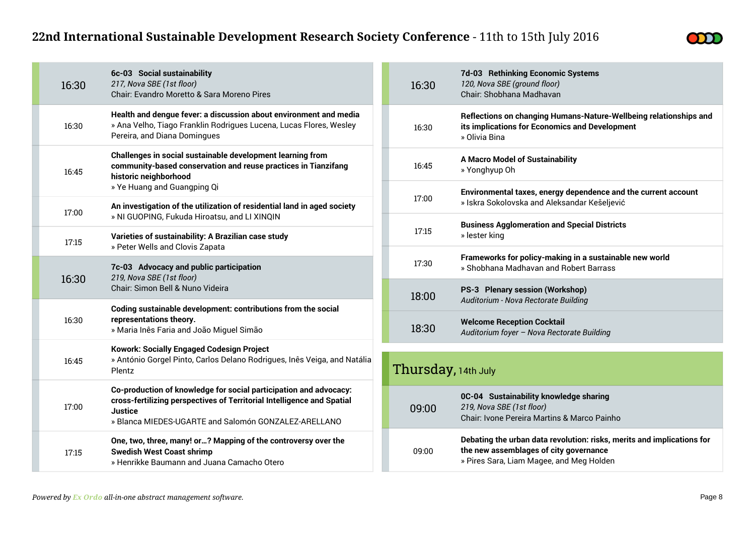

| 16:30 | 6c-03 Social sustainability<br>217, Nova SBE (1st floor)<br>Chair: Evandro Moretto & Sara Moreno Pires                                                                  | 16:30               | 7d-03 Rethinking Economic Systems<br>120, Nova SBE (ground floor)<br>Chair: Shobhana Madhavan                                                                |
|-------|-------------------------------------------------------------------------------------------------------------------------------------------------------------------------|---------------------|--------------------------------------------------------------------------------------------------------------------------------------------------------------|
| 16:30 | Health and dengue fever: a discussion about environment and media<br>» Ana Velho, Tiago Franklin Rodrigues Lucena, Lucas Flores, Wesley<br>Pereira, and Diana Domingues | 16:30               | Reflections on changing Humans-Nature-Wellbeing relationships and<br>its implications for Economics and Development<br>» Olivia Bina                         |
| 16:45 | Challenges in social sustainable development learning from<br>community-based conservation and reuse practices in Tianzifang<br>historic neighborhood                   | 16:45               | <b>A Macro Model of Sustainability</b><br>» Yonghyup Oh                                                                                                      |
|       | » Ye Huang and Guangping Qi<br>An investigation of the utilization of residential land in aged society                                                                  | 17:00               | Environmental taxes, energy dependence and the current account<br>» Iskra Sokolovska and Aleksandar Kešeljević                                               |
| 17:00 | » NI GUOPING, Fukuda Hiroatsu, and LI XINQIN                                                                                                                            |                     | <b>Business Agglomeration and Special Districts</b>                                                                                                          |
| 17:15 | Varieties of sustainability: A Brazilian case study<br>» Peter Wells and Clovis Zapata                                                                                  | 17:15               | » lester king                                                                                                                                                |
|       | 7c-03 Advocacy and public participation<br>219, Nova SBE (1st floor)<br>Chair: Simon Bell & Nuno Videira                                                                | 17:30               | Frameworks for policy-making in a sustainable new world<br>» Shobhana Madhavan and Robert Barrass                                                            |
| 16:30 |                                                                                                                                                                         | 18:00               | PS-3 Plenary session (Workshop)<br>Auditorium - Nova Rectorate Building                                                                                      |
|       | Coding sustainable development: contributions from the social<br>representations theory.<br>» Maria Inês Faria and João Miguel Simão                                    |                     |                                                                                                                                                              |
| 16:30 |                                                                                                                                                                         | 18:30               | <b>Welcome Reception Cocktail</b><br>Auditorium foyer - Nova Rectorate Building                                                                              |
|       | <b>Kowork: Socially Engaged Codesign Project</b>                                                                                                                        |                     |                                                                                                                                                              |
| 16:45 | » António Gorgel Pinto, Carlos Delano Rodrigues, Inês Veiga, and Natália<br>Plentz                                                                                      | Thursday, 14th July |                                                                                                                                                              |
|       | Co-production of knowledge for social participation and advocacy:<br>cross-fertilizing perspectives of Territorial Intelligence and Spatial                             |                     | 0C-04 Sustainability knowledge sharing                                                                                                                       |
| 17:00 | <b>Justice</b><br>» Blanca MIEDES-UGARTE and Salomón GONZALEZ-ARELLANO                                                                                                  | 09:00               | 219, Nova SBE (1st floor)<br>Chair: Ivone Pereira Martins & Marco Painho                                                                                     |
| 17:15 | One, two, three, many! or? Mapping of the controversy over the<br><b>Swedish West Coast shrimp</b><br>» Henrikke Baumann and Juana Camacho Otero                        | 09:00               | Debating the urban data revolution: risks, merits and implications for<br>the new assemblages of city governance<br>» Pires Sara, Liam Magee, and Meg Holden |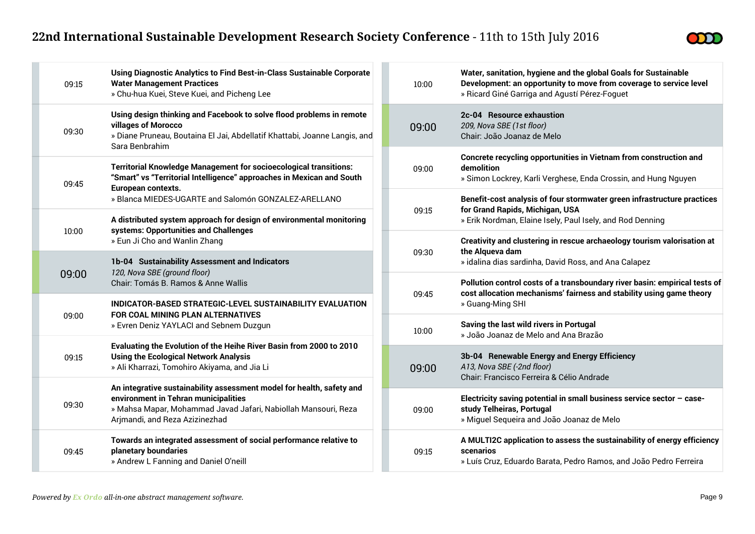$\sim$ 



| 09:15 | Using Diagnostic Analytics to Find Best-in-Class Sustainable Corporate<br><b>Water Management Practices</b><br>» Chu-hua Kuei, Steve Kuei, and Picheng Lee                                                                      |  |  |
|-------|---------------------------------------------------------------------------------------------------------------------------------------------------------------------------------------------------------------------------------|--|--|
| 09:30 | Using design thinking and Facebook to solve flood problems in remote<br>villages of Morocco<br>» Diane Pruneau, Boutaina El Jai, Abdellatif Khattabi, Joanne Langis, and<br>Sara Benbrahim                                      |  |  |
| 09:45 | <b>Territorial Knowledge Management for socioecological transitions:</b><br>"Smart" vs "Territorial Intelligence" approaches in Mexican and South<br>European contexts.<br>» Blanca MIEDES-UGARTE and Salomón GONZALEZ-ARELLANO |  |  |
| 10:00 | A distributed system approach for design of environmental monitoring<br>systems: Opportunities and Challenges<br>» Eun Ji Cho and Wanlin Zhang                                                                                  |  |  |
| 09:00 | 1b-04 Sustainability Assessment and Indicators<br>120, Nova SBE (ground floor)<br>Chair: Tomás B. Ramos & Anne Wallis                                                                                                           |  |  |
| 09:00 | INDICATOR-BASED STRATEGIC-LEVEL SUSTAINABILITY EVALUATION<br>FOR COAL MINING PLAN ALTERNATIVES<br>» Evren Deniz YAYLACI and Sebnem Duzgun                                                                                       |  |  |
| 09:15 | Evaluating the Evolution of the Heihe River Basin from 2000 to 2010<br><b>Using the Ecological Network Analysis</b><br>» Ali Kharrazi, Tomohiro Akiyama, and Jia Li                                                             |  |  |
| 09:30 | An integrative sustainability assessment model for health, safety and<br>environment in Tehran municipalities<br>» Mahsa Mapar, Mohammad Javad Jafari, Nabiollah Mansouri, Reza<br>Arjmandi, and Reza Azizinezhad               |  |  |
| 09:45 | Towards an integrated assessment of social performance relative to<br>planetary boundaries<br>» Andrew L Fanning and Daniel O'neill                                                                                             |  |  |

| 10:00 | Water, sanitation, hygiene and the global Goals for Sustainable<br>Development: an opportunity to move from coverage to service level<br>» Ricard Giné Garriga and Agustí Pérez-Foguet |
|-------|----------------------------------------------------------------------------------------------------------------------------------------------------------------------------------------|
| 09:00 | 2c-04 Resource exhaustion<br>209, Nova SBE (1st floor)<br>Chair: João Joanaz de Melo                                                                                                   |
| 09:00 | Concrete recycling opportunities in Vietnam from construction and<br>demolition<br>» Simon Lockrey, Karli Verghese, Enda Crossin, and Hung Nguyen                                      |
| 09:15 | Benefit-cost analysis of four stormwater green infrastructure practices<br>for Grand Rapids, Michigan, USA<br>» Erik Nordman, Elaine Isely, Paul Isely, and Rod Denning                |
| 09:30 | Creativity and clustering in rescue archaeology tourism valorisation at<br>the Alqueva dam<br>» idalina dias sardinha, David Ross, and Ana Calapez                                     |
| 09:45 | Pollution control costs of a transboundary river basin: empirical tests of<br>cost allocation mechanisms' fairness and stability using game theory<br>» Guang-Ming SHI                 |
| 10:00 | Saving the last wild rivers in Portugal<br>» João Joanaz de Melo and Ana Brazão                                                                                                        |
| 09:00 | 3b-04 Renewable Energy and Energy Efficiency<br>A13, Nova SBE (-2nd floor)<br>Chair: Francisco Ferreira & Célio Andrade                                                                |
| 09:00 | Electricity saving potential in small business service sector $-$ case-<br>study Telheiras, Portugal<br>» Miguel Sequeira and João Joanaz de Melo                                      |
|       |                                                                                                                                                                                        |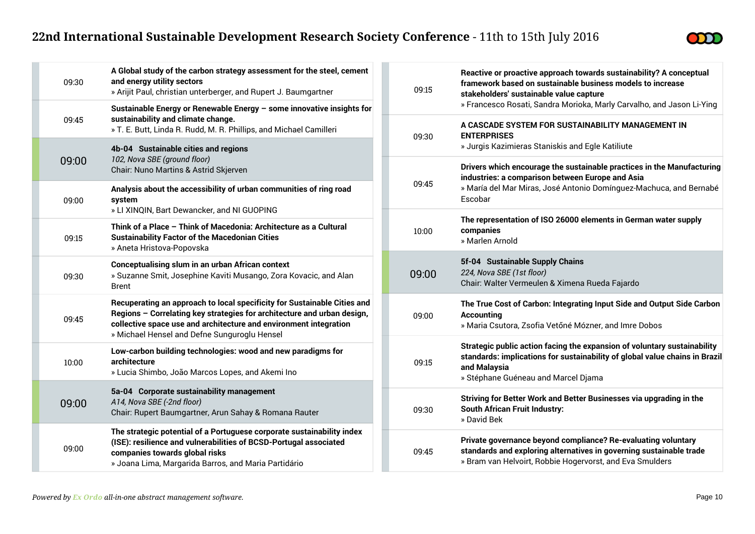

| 09:30 | A Global study of the carbon strategy assessment for the steel, cement<br>and energy utility sectors<br>» Arijit Paul, christian unterberger, and Rupert J. Baumgartner                                                                                                  | 09:15 | Reactive or proactive approach towards sustainability? A conceptual<br>framework based on sustainable business models to increase<br>stakeholders' sustainable value capture                                   |
|-------|--------------------------------------------------------------------------------------------------------------------------------------------------------------------------------------------------------------------------------------------------------------------------|-------|----------------------------------------------------------------------------------------------------------------------------------------------------------------------------------------------------------------|
| 09:45 | Sustainable Energy or Renewable Energy - some innovative insights for<br>sustainability and climate change.<br>» T. E. Butt, Linda R. Rudd, M. R. Phillips, and Michael Camilleri                                                                                        | 09:30 | » Francesco Rosati, Sandra Morioka, Marly Carvalho, and Jason Li-Ying<br>A CASCADE SYSTEM FOR SUSTAINABILITY MANAGEMENT IN<br><b>ENTERPRISES</b>                                                               |
| 09:00 | 4b-04 Sustainable cities and regions<br>102, Nova SBE (ground floor)                                                                                                                                                                                                     |       | » Jurgis Kazimieras Staniskis and Egle Katiliute<br>Drivers which encourage the sustainable practices in the Manufacturing                                                                                     |
| 09:00 | Chair: Nuno Martins & Astrid Skjerven<br>Analysis about the accessibility of urban communities of ring road<br>system<br>» LI XINQIN, Bart Dewancker, and NI GUOPING                                                                                                     | 09:45 | industries: a comparison between Europe and Asia<br>» María del Mar Miras, José Antonio Domínguez-Machuca, and Bernabé<br>Escobar                                                                              |
| 09:15 | Think of a Place - Think of Macedonia: Architecture as a Cultural<br><b>Sustainability Factor of the Macedonian Cities</b><br>» Aneta Hristova-Popovska                                                                                                                  | 10:00 | The representation of ISO 26000 elements in German water supply<br>companies<br>» Marlen Arnold                                                                                                                |
| 09:30 | <b>Conceptualising slum in an urban African context</b><br>» Suzanne Smit, Josephine Kaviti Musango, Zora Kovacic, and Alan<br><b>Brent</b>                                                                                                                              | 09:00 | 5f-04 Sustainable Supply Chains<br>224, Nova SBE (1st floor)<br>Chair: Walter Vermeulen & Ximena Rueda Fajardo                                                                                                 |
| 09:45 | Recuperating an approach to local specificity for Sustainable Cities and<br>Regions - Correlating key strategies for architecture and urban design,<br>collective space use and architecture and environment integration<br>» Michael Hensel and Defne Sunguroglu Hensel | 09:00 | The True Cost of Carbon: Integrating Input Side and Output Side Carbon<br>Accounting<br>» Maria Csutora, Zsofia Vetőné Mózner, and Imre Dobos                                                                  |
| 10:00 | Low-carbon building technologies: wood and new paradigms for<br>architecture<br>» Lucia Shimbo, João Marcos Lopes, and Akemi Ino                                                                                                                                         | 09:15 | Strategic public action facing the expansion of voluntary sustainability<br>standards: implications for sustainability of global value chains in Brazil<br>and Malaysia<br>» Stéphane Guéneau and Marcel Djama |
| 09:00 | 5a-04 Corporate sustainability management<br>A14, Nova SBE (-2nd floor)<br>Chair: Rupert Baumgartner, Arun Sahay & Romana Rauter                                                                                                                                         | 09:30 | Striving for Better Work and Better Businesses via upgrading in the<br><b>South African Fruit Industry:</b><br>» David Bek                                                                                     |
| 09:00 | The strategic potential of a Portuguese corporate sustainability index<br>(ISE): resilience and vulnerabilities of BCSD-Portugal associated<br>companies towards global risks<br>» Joana Lima, Margarida Barros, and Maria Partidário                                    | 09:45 | Private governance beyond compliance? Re-evaluating voluntary<br>standards and exploring alternatives in governing sustainable trade<br>» Bram van Helvoirt, Robbie Hogervorst, and Eva Smulders               |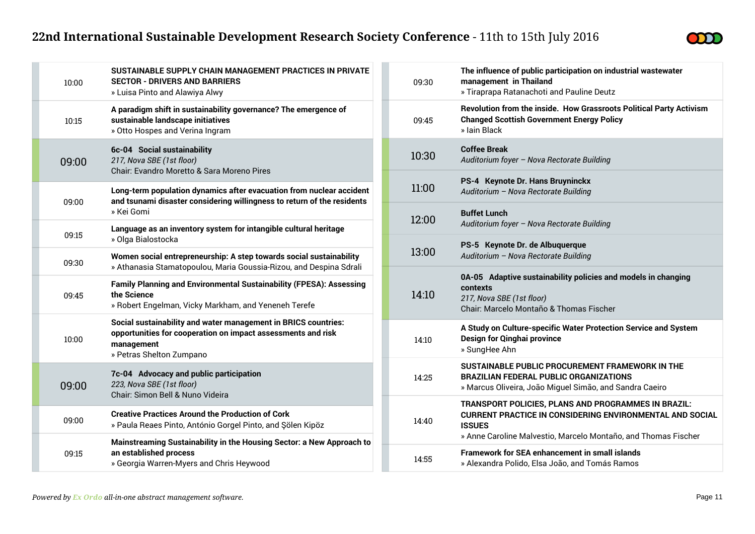

| 10:00 | SUSTAINABLE SUPPLY CHAIN MANAGEMENT PRACTICES IN PRIVATE<br><b>SECTOR - DRIVERS AND BARRIERS</b><br>» Luisa Pinto and Alawiya Alwy                                       |
|-------|--------------------------------------------------------------------------------------------------------------------------------------------------------------------------|
| 10:15 | A paradigm shift in sustainability governance? The emergence of<br>sustainable landscape initiatives<br>» Otto Hospes and Verina Ingram                                  |
| 09:00 | 6c-04 Social sustainability<br>217, Nova SBE (1st floor)<br>Chair: Evandro Moretto & Sara Moreno Pires                                                                   |
| 09:00 | Long-term population dynamics after evacuation from nuclear accident<br>and tsunami disaster considering willingness to return of the residents<br>» Kei Gomi            |
| 09:15 | Language as an inventory system for intangible cultural heritage<br>» Olga Bialostocka                                                                                   |
| 09:30 | Women social entrepreneurship: A step towards social sustainability<br>» Athanasia Stamatopoulou, Maria Goussia-Rizou, and Despina Sdrali                                |
| 09:45 | Family Planning and Environmental Sustainability (FPESA): Assessing<br>the Science<br>» Robert Engelman, Vicky Markham, and Yeneneh Terefe                               |
| 10:00 | Social sustainability and water management in BRICS countries:<br>opportunities for cooperation on impact assessments and risk<br>management<br>» Petras Shelton Zumpano |
| 09:00 | 7c-04 Advocacy and public participation<br>223, Nova SBE (1st floor)<br>Chair: Simon Bell & Nuno Videira                                                                 |
| 09:00 | <b>Creative Practices Around the Production of Cork</b><br>» Paula Reaes Pinto, António Gorgel Pinto, and Sölen Kipöz                                                    |
| 09:15 | Mainstreaming Sustainability in the Housing Sector: a New Approach to<br>an established process<br>» Georgia Warren-Myers and Chris Heywood                              |

| 09:30 | The influence of public participation on industrial wastewater<br>management in Thailand<br>» Tiraprapa Ratanachoti and Pauline Deutz                                                                     |
|-------|-----------------------------------------------------------------------------------------------------------------------------------------------------------------------------------------------------------|
| 09:45 | Revolution from the inside. How Grassroots Political Party Activism<br><b>Changed Scottish Government Energy Policy</b><br>» Jain Black                                                                   |
| 10:30 | <b>Coffee Break</b><br>Auditorium foyer - Nova Rectorate Building                                                                                                                                         |
| 11:00 | PS-4 Keynote Dr. Hans Bruyninckx<br>Auditorium - Nova Rectorate Building                                                                                                                                  |
| 12:00 | <b>Buffet Lunch</b><br>Auditorium foyer - Nova Rectorate Building                                                                                                                                         |
| 13:00 | PS-5 Keynote Dr. de Albuquerque<br>Auditorium - Nova Rectorate Building                                                                                                                                   |
| 14:10 | 0A-05 Adaptive sustainability policies and models in changing<br>contexts<br>217, Nova SBE (1st floor)<br>Chair: Marcelo Montaño & Thomas Fischer                                                         |
| 14:10 | A Study on Culture-specific Water Protection Service and System<br><b>Design for Qinghai province</b><br>» SungHee Ahn                                                                                    |
| 14:25 | SUSTAINABLE PUBLIC PROCUREMENT FRAMEWORK IN THE<br><b>BRAZILIAN FEDERAL PUBLIC ORGANIZATIONS</b><br>» Marcus Oliveira, João Miguel Simão, and Sandra Caeiro                                               |
| 14:40 | TRANSPORT POLICIES, PLANS AND PROGRAMMES IN BRAZIL:<br><b>CURRENT PRACTICE IN CONSIDERING ENVIRONMENTAL AND SOCIAL</b><br><b>ISSUES</b><br>» Anne Caroline Malvestio, Marcelo Montaño, and Thomas Fischer |
| 14:55 | <b>Framework for SEA enhancement in small islands</b><br>» Alexandra Polido, Elsa João, and Tomás Ramos                                                                                                   |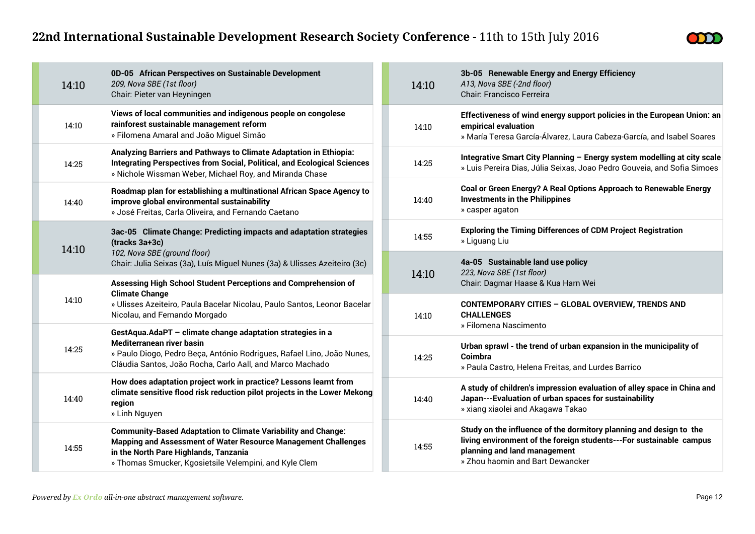

| 14:10 | 0D-05 African Perspectives on Sustainable Development<br>209, Nova SBE (1st floor)<br>Chair: Pieter van Heyningen                                                                                                | 14  |
|-------|------------------------------------------------------------------------------------------------------------------------------------------------------------------------------------------------------------------|-----|
| 14:10 | Views of local communities and indigenous people on congolese<br>rainforest sustainable management reform<br>» Filomena Amaral and João Miguel Simão                                                             | 14  |
| 14:25 | Analyzing Barriers and Pathways to Climate Adaptation in Ethiopia:<br><b>Integrating Perspectives from Social, Political, and Ecological Sciences</b><br>» Nichole Wissman Weber, Michael Roy, and Miranda Chase | 14. |
| 14:40 | Roadmap plan for establishing a multinational African Space Agency to<br>improve global environmental sustainability<br>» José Freitas, Carla Oliveira, and Fernando Caetano                                     | 14. |
| 14:10 | 3ac-05 Climate Change: Predicting impacts and adaptation strategies<br>(tracks 3a+3c)<br>102, Nova SBE (ground floor)                                                                                            | 14  |
|       | Chair: Julia Seixas (3a), Luís Miguel Nunes (3a) & Ulisses Azeiteiro (3c)                                                                                                                                        |     |
|       |                                                                                                                                                                                                                  |     |
|       | Assessing High School Student Perceptions and Comprehension of                                                                                                                                                   | 14  |
| 14:10 | <b>Climate Change</b><br>» Ulisses Azeiteiro, Paula Bacelar Nicolau, Paulo Santos, Leonor Bacelar<br>Nicolau, and Fernando Morgado                                                                               | 14  |
|       | GestAqua.AdaPT - climate change adaptation strategies in a                                                                                                                                                       |     |
| 14:25 | <b>Mediterranean river basin</b><br>» Paulo Diogo, Pedro Beça, António Rodrigues, Rafael Lino, João Nunes,<br>Cláudia Santos, João Rocha, Carlo Aall, and Marco Machado                                          | 14  |
| 14:40 | How does adaptation project work in practice? Lessons learnt from<br>climate sensitive flood risk reduction pilot projects in the Lower Mekong<br>region<br>» Linh Nguyen                                        | 14. |

| 14:10 | 3b-05 Renewable Energy and Energy Efficiency<br>A13, Nova SBE (-2nd floor)<br>Chair: Francisco Ferreira                                                                                                       |
|-------|---------------------------------------------------------------------------------------------------------------------------------------------------------------------------------------------------------------|
| 14:10 | Effectiveness of wind energy support policies in the European Union: an<br>empirical evaluation<br>» María Teresa García-Álvarez, Laura Cabeza-García, and Isabel Soares                                      |
| 14:25 | Integrative Smart City Planning - Energy system modelling at city scale<br>» Luis Pereira Dias, Júlia Seixas, Joao Pedro Gouveia, and Sofia Simoes                                                            |
| 14:40 | Coal or Green Energy? A Real Options Approach to Renewable Energy<br><b>Investments in the Philippines</b><br>» casper agaton                                                                                 |
| 14:55 | <b>Exploring the Timing Differences of CDM Project Registration</b><br>» Liguang Liu                                                                                                                          |
| 14:10 | 4a-05 Sustainable land use policy<br>223, Nova SBE (1st floor)<br>Chair: Dagmar Haase & Kua Harn Wei                                                                                                          |
| 14:10 | CONTEMPORARY CITIES - GLOBAL OVERVIEW, TRENDS AND<br><b>CHALLENGES</b><br>» Filomena Nascimento                                                                                                               |
| 14:25 | Urban sprawl - the trend of urban expansion in the municipality of<br>Coimbra<br>» Paula Castro, Helena Freitas, and Lurdes Barrico                                                                           |
| 14:40 | A study of children's impression evaluation of alley space in China and<br>Japan---Evaluation of urban spaces for sustainability<br>» xiang xiaolei and Akagawa Takao                                         |
| 14:55 | Study on the influence of the dormitory planning and design to the<br>living environment of the foreign students---For sustainable campus<br>planning and land management<br>» Zhou haomin and Bart Dewancker |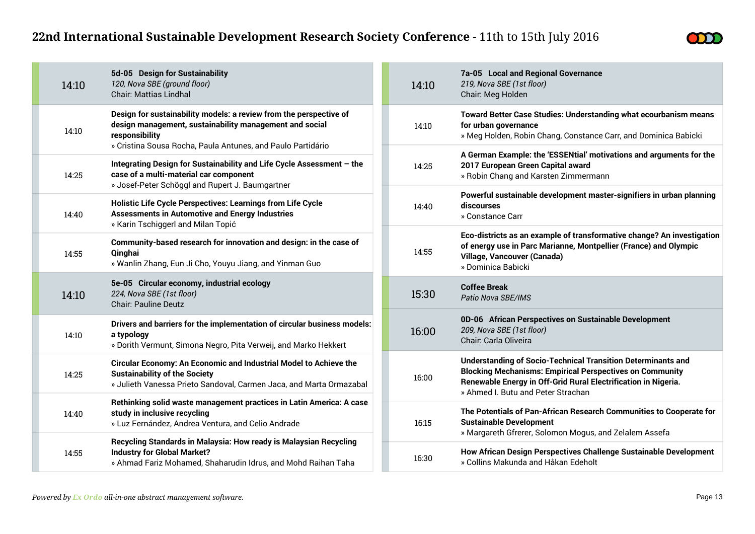

| 14:10 | 5d-05 Design for Sustainability<br>120, Nova SBE (ground floor)<br><b>Chair: Mattias Lindhal</b>                                                                                                               | 14:10 | 7a-05 Local and Regional Governance<br>219, Nova SBE (1st floor)<br>Chair: Meg Holden                                                                                                                                                          |
|-------|----------------------------------------------------------------------------------------------------------------------------------------------------------------------------------------------------------------|-------|------------------------------------------------------------------------------------------------------------------------------------------------------------------------------------------------------------------------------------------------|
| 14:10 | Design for sustainability models: a review from the perspective of<br>design management, sustainability management and social<br>responsibility<br>» Cristina Sousa Rocha, Paula Antunes, and Paulo Partidário | 14:10 | Toward Better Case Studies: Understanding what ecourbanism means<br>for urban governance<br>» Meg Holden, Robin Chang, Constance Carr, and Dominica Babicki                                                                                    |
| 14:25 | Integrating Design for Sustainability and Life Cycle Assessment - the<br>case of a multi-material car component<br>» Josef-Peter Schöggl and Rupert J. Baumgartner                                             | 14:25 | A German Example: the 'ESSENtial' motivations and arguments for the<br>2017 European Green Capital award<br>» Robin Chang and Karsten Zimmermann                                                                                               |
| 14:40 | Holistic Life Cycle Perspectives: Learnings from Life Cycle<br><b>Assessments in Automotive and Energy Industries</b><br>» Karin Tschiggerl and Milan Topić                                                    | 14:40 | Powerful sustainable development master-signifiers in urban planning<br>discourses<br>» Constance Carr                                                                                                                                         |
| 14:55 | Community-based research for innovation and design: in the case of<br>Qinghai<br>» Wanlin Zhang, Eun Ji Cho, Youyu Jiang, and Yinman Guo                                                                       | 14:55 | Eco-districts as an example of transformative change? An investigation<br>of energy use in Parc Marianne, Montpellier (France) and Olympic<br>Village, Vancouver (Canada)<br>» Dominica Babicki                                                |
| 14:10 | 5e-05 Circular economy, industrial ecology<br>224, Nova SBE (1st floor)<br><b>Chair: Pauline Deutz</b>                                                                                                         | 15:30 | <b>Coffee Break</b><br>Patio Nova SBE/IMS                                                                                                                                                                                                      |
| 14:10 | Drivers and barriers for the implementation of circular business models:<br>a typology<br>» Dorith Vermunt, Simona Negro, Pita Verweij, and Marko Hekkert                                                      | 16:00 | 0D-06 African Perspectives on Sustainable Development<br>209, Nova SBE (1st floor)<br>Chair: Carla Oliveira                                                                                                                                    |
| 14:25 | Circular Economy: An Economic and Industrial Model to Achieve the<br><b>Sustainability of the Society</b><br>» Julieth Vanessa Prieto Sandoval, Carmen Jaca, and Marta Ormazabal                               | 16:00 | <b>Understanding of Socio-Technical Transition Determinants and</b><br><b>Blocking Mechanisms: Empirical Perspectives on Community</b><br>Renewable Energy in Off-Grid Rural Electrification in Nigeria.<br>» Ahmed I. Butu and Peter Strachan |
| 14:40 | Rethinking solid waste management practices in Latin America: A case<br>study in inclusive recycling<br>» Luz Fernández, Andrea Ventura, and Celio Andrade                                                     | 16:15 | The Potentials of Pan-African Research Communities to Cooperate for<br><b>Sustainable Development</b><br>» Margareth Gfrerer, Solomon Mogus, and Zelalem Assefa                                                                                |
| 14:55 | Recycling Standards in Malaysia: How ready is Malaysian Recycling<br><b>Industry for Global Market?</b><br>» Ahmad Fariz Mohamed, Shaharudin Idrus, and Mohd Raihan Taha                                       | 16:30 | How African Design Perspectives Challenge Sustainable Development<br>» Collins Makunda and Håkan Edeholt                                                                                                                                       |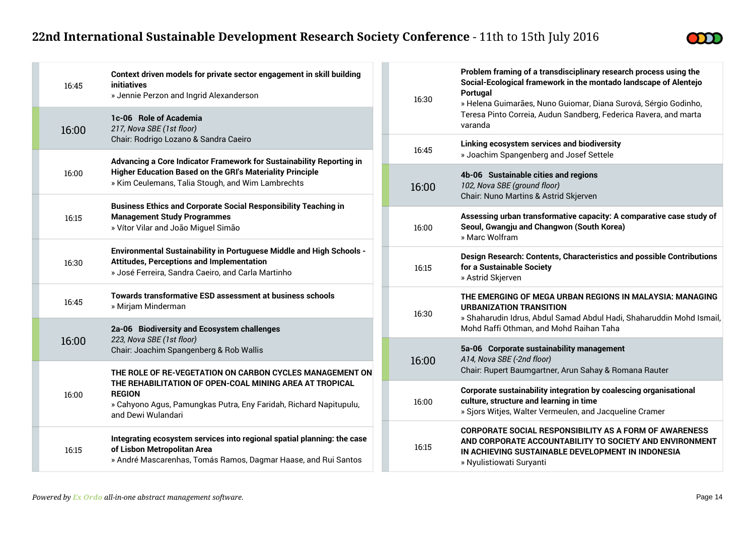**College** 



| 16:45 | Context driven models for private sector engagement in skill building<br>initiatives<br>» Jennie Perzon and Ingrid Alexanderson                                                                                                 |  |
|-------|---------------------------------------------------------------------------------------------------------------------------------------------------------------------------------------------------------------------------------|--|
| 16:00 | 1c-06 Role of Academia<br>217, Nova SBE (1st floor)<br>Chair: Rodrigo Lozano & Sandra Caeiro                                                                                                                                    |  |
| 16:00 | Advancing a Core Indicator Framework for Sustainability Reporting in<br><b>Higher Education Based on the GRI's Materiality Principle</b><br>» Kim Ceulemans, Talia Stough, and Wim Lambrechts                                   |  |
| 16:15 | <b>Business Ethics and Corporate Social Responsibility Teaching in</b><br><b>Management Study Programmes</b><br>» Vítor Vilar and João Miguel Simão                                                                             |  |
| 16:30 | <b>Environmental Sustainability in Portuguese Middle and High Schools -</b><br><b>Attitudes, Perceptions and Implementation</b><br>» José Ferreira, Sandra Caeiro, and Carla Martinho                                           |  |
| 16:45 | Towards transformative ESD assessment at business schools<br>» Mirjam Minderman                                                                                                                                                 |  |
| 16:00 | 2a-06 Biodiversity and Ecosystem challenges<br>223, Nova SBE (1st floor)<br>Chair: Joachim Spangenberg & Rob Wallis                                                                                                             |  |
| 16:00 | THE ROLE OF RE-VEGETATION ON CARBON CYCLES MANAGEMENT ON<br>THE REHABILITATION OF OPEN-COAL MINING AREA AT TROPICAL<br><b>REGION</b><br>» Cahyono Agus, Pamungkas Putra, Eny Faridah, Richard Napitupulu,<br>and Dewi Wulandari |  |
| 16:15 | Integrating ecosystem services into regional spatial planning: the case<br>of Lisbon Metropolitan Area<br>» André Mascarenhas, Tomás Ramos, Dagmar Haase, and Rui Santos                                                        |  |

| 16:30 | Problem framing of a transdisciplinary research process using the<br>Social-Ecological framework in the montado landscape of Alentejo<br>Portugal<br>» Helena Guimarães, Nuno Guiomar, Diana Surová, Sérgio Godinho,<br>Teresa Pinto Correia, Audun Sandberg, Federica Ravera, and marta<br>varanda |
|-------|-----------------------------------------------------------------------------------------------------------------------------------------------------------------------------------------------------------------------------------------------------------------------------------------------------|
| 16:45 | Linking ecosystem services and biodiversity<br>» Joachim Spangenberg and Josef Settele                                                                                                                                                                                                              |
| 16:00 | 4b-06 Sustainable cities and regions<br>102, Nova SBE (ground floor)<br>Chair: Nuno Martins & Astrid Skjerven                                                                                                                                                                                       |
| 16:00 | Assessing urban transformative capacity: A comparative case study of<br>Seoul, Gwangju and Changwon (South Korea)<br>» Marc Wolfram                                                                                                                                                                 |
| 16:15 | Design Research: Contents, Characteristics and possible Contributions<br>for a Sustainable Society<br>» Astrid Skjerven                                                                                                                                                                             |
| 16:30 | THE EMERGING OF MEGA URBAN REGIONS IN MALAYSIA: MANAGING<br><b>URBANIZATION TRANSITION</b><br>» Shaharudin Idrus, Abdul Samad Abdul Hadi, Shaharuddin Mohd Ismail,<br>Mohd Raffi Othman, and Mohd Raihan Taha                                                                                       |
| 16:00 | 5a-06 Corporate sustainability management<br>A14, Nova SBE (-2nd floor)<br>Chair: Rupert Baumgartner, Arun Sahay & Romana Rauter                                                                                                                                                                    |
| 16:00 | Corporate sustainability integration by coalescing organisational<br>culture, structure and learning in time<br>» Sjors Witjes, Walter Vermeulen, and Jacqueline Cramer                                                                                                                             |
| 16:15 | <b>CORPORATE SOCIAL RESPONSIBILITY AS A FORM OF AWARENESS</b><br>AND CORPORATE ACCOUNTABILITY TO SOCIETY AND ENVIRONMENT<br>IN ACHIEVING SUSTAINABLE DEVELOPMENT IN INDONESIA<br>» Nyulistiowati Suryanti                                                                                           |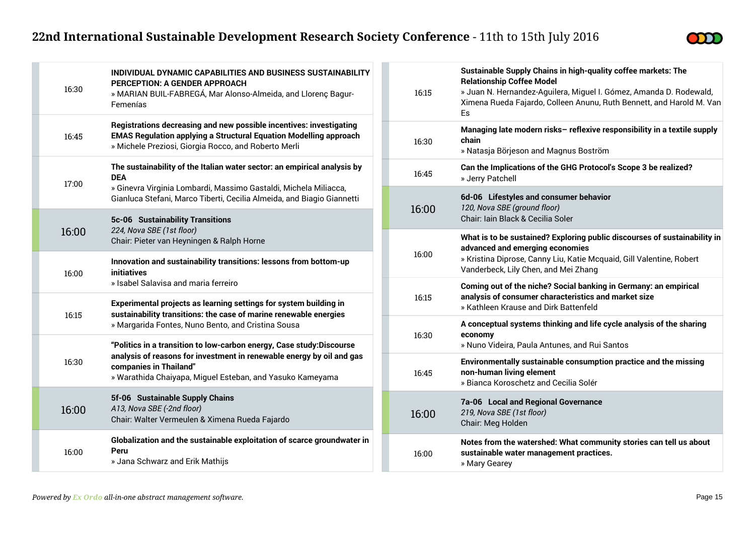

| 16:30 | INDIVIDUAL DYNAMIC CAPABILITIES AND BUSINESS SUSTAINABILITY<br>PERCEPTION: A GENDER APPROACH<br>» MARIAN BUIL-FABREGÁ, Mar Alonso-Almeida, and Llorenç Bagur-<br>Femenías                                                                                                                                                                                                                                                            | 16:15          | Sustainable Supply Chains in high-quality coffee markets: The<br><b>Relationship Coffee Model</b><br>» Juan N. Hernandez-Aguilera, Miguel I. Gómez, Amanda D. Rodewald,<br>Ximena Rueda Fajardo, Colleen Anunu, Ruth Bennett, and Harold M. Van<br>Es |
|-------|--------------------------------------------------------------------------------------------------------------------------------------------------------------------------------------------------------------------------------------------------------------------------------------------------------------------------------------------------------------------------------------------------------------------------------------|----------------|-------------------------------------------------------------------------------------------------------------------------------------------------------------------------------------------------------------------------------------------------------|
| 16:45 | Registrations decreasing and new possible incentives: investigating<br><b>EMAS Regulation applying a Structural Equation Modelling approach</b><br>» Michele Preziosi, Giorgia Rocco, and Roberto Merli                                                                                                                                                                                                                              | 16:30          | Managing late modern risks- reflexive responsibility in a textile supply<br>chain<br>» Natasja Börjeson and Magnus Boström                                                                                                                            |
| 17:00 | The sustainability of the Italian water sector: an empirical analysis by<br><b>DEA</b>                                                                                                                                                                                                                                                                                                                                               | 16:45          | Can the Implications of the GHG Protocol's Scope 3 be realized?<br>» Jerry Patchell                                                                                                                                                                   |
|       | » Ginevra Virginia Lombardi, Massimo Gastaldi, Michela Miliacca,<br>Gianluca Stefani, Marco Tiberti, Cecilia Almeida, and Biagio Giannetti                                                                                                                                                                                                                                                                                           | 16:00          | 6d-06 Lifestyles and consumer behavior<br>120, Nova SBE (ground floor)                                                                                                                                                                                |
| 16:00 | 5c-06 Sustainability Transitions<br>224, Nova SBE (1st floor)                                                                                                                                                                                                                                                                                                                                                                        |                | Chair: Iain Black & Cecilia Soler                                                                                                                                                                                                                     |
|       | Chair: Pieter van Heyningen & Ralph Horne                                                                                                                                                                                                                                                                                                                                                                                            |                | What is to be sustained? Exploring public discourses of sustainability in<br>advanced and emerging economies                                                                                                                                          |
| 16:00 | Innovation and sustainability transitions: lessons from bottom-up<br>initiatives                                                                                                                                                                                                                                                                                                                                                     | 16:00          | » Kristina Diprose, Canny Liu, Katie Mcquaid, Gill Valentine, Robert<br>Vanderbeck, Lily Chen, and Mei Zhang                                                                                                                                          |
|       | » Isabel Salavisa and maria ferreiro                                                                                                                                                                                                                                                                                                                                                                                                 |                | Coming out of the niche? Social banking in Germany: an empirical                                                                                                                                                                                      |
| 16:15 | Experimental projects as learning settings for system building in<br>sustainability transitions: the case of marine renewable energies<br>» Margarida Fontes, Nuno Bento, and Cristina Sousa<br>"Politics in a transition to low-carbon energy, Case study:Discourse<br>analysis of reasons for investment in renewable energy by oil and gas<br>companies in Thailand"<br>» Warathida Chaiyapa, Miguel Esteban, and Yasuko Kameyama | 16:15<br>16:30 | analysis of consumer characteristics and market size<br>» Kathleen Krause and Dirk Battenfeld                                                                                                                                                         |
|       |                                                                                                                                                                                                                                                                                                                                                                                                                                      |                | A conceptual systems thinking and life cycle analysis of the sharing                                                                                                                                                                                  |
|       |                                                                                                                                                                                                                                                                                                                                                                                                                                      |                | economy<br>» Nuno Videira, Paula Antunes, and Rui Santos                                                                                                                                                                                              |
| 16:30 |                                                                                                                                                                                                                                                                                                                                                                                                                                      | 16:45          | Environmentally sustainable consumption practice and the missing<br>non-human living element<br>» Bianca Koroschetz and Cecilia Solér                                                                                                                 |
| 16:00 | 5f-06 Sustainable Supply Chains<br>A13, Nova SBE (-2nd floor)<br>Chair: Walter Vermeulen & Ximena Rueda Fajardo                                                                                                                                                                                                                                                                                                                      | 16:00          | 7a-06 Local and Regional Governance<br>219, Nova SBE (1st floor)<br>Chair: Meg Holden                                                                                                                                                                 |
| 16:00 | Globalization and the sustainable exploitation of scarce groundwater in<br>Peru<br>» Jana Schwarz and Erik Mathijs                                                                                                                                                                                                                                                                                                                   | 16:00          | Notes from the watershed: What community stories can tell us about<br>sustainable water management practices.<br>» Mary Gearey                                                                                                                        |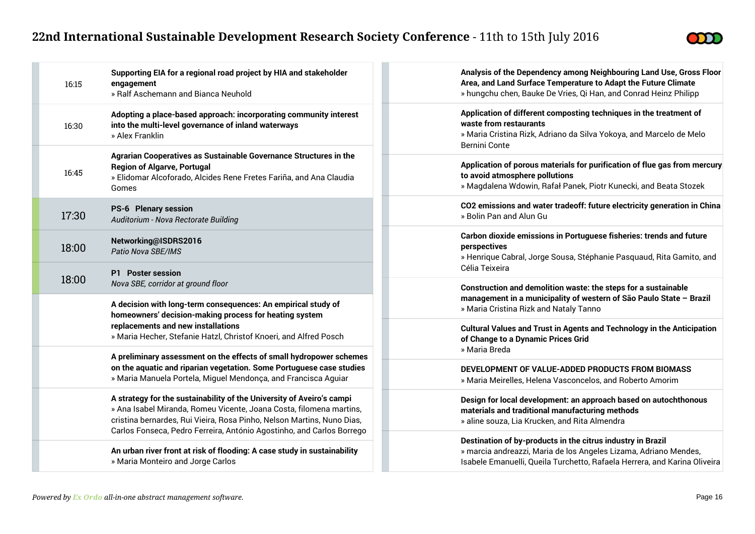

| 16:15 | Supporting EIA for a regional road project by HIA and stakeholder<br>engagement<br>» Ralf Aschemann and Bianca Neuhold                                                                                                                                                                                                                                                                                                                              | Analysis of the Dependency among Neighbouring Land Use, Gross Floor<br>Area, and Land Surface Temperature to Adapt the Future Climate<br>» hungchu chen, Bauke De Vries, Qi Han, and Conrad Heinz Philipp    |
|-------|-----------------------------------------------------------------------------------------------------------------------------------------------------------------------------------------------------------------------------------------------------------------------------------------------------------------------------------------------------------------------------------------------------------------------------------------------------|--------------------------------------------------------------------------------------------------------------------------------------------------------------------------------------------------------------|
| 16:30 | Adopting a place-based approach: incorporating community interest<br>into the multi-level governance of inland waterways<br>» Alex Franklin                                                                                                                                                                                                                                                                                                         | Application of different composting techniques in the treatment of<br>waste from restaurants<br>» Maria Cristina Rizk, Adriano da Silva Yokoya, and Marcelo de Melo<br>Bernini Conte                         |
| 16:45 | Agrarian Cooperatives as Sustainable Governance Structures in the<br><b>Region of Algarve, Portugal</b><br>» Elidomar Alcoforado, Alcides Rene Fretes Fariña, and Ana Claudia<br>Gomes                                                                                                                                                                                                                                                              | Application of porous materials for purification of flue gas from mercury<br>to avoid atmosphere pollutions<br>» Magdalena Wdowin, Rafał Panek, Piotr Kunecki, and Beata Stozek                              |
| 17:30 | <b>PS-6 Plenary session</b><br>Auditorium - Nova Rectorate Building                                                                                                                                                                                                                                                                                                                                                                                 | CO2 emissions and water tradeoff: future electricity generation in China<br>» Bolin Pan and Alun Gu                                                                                                          |
| 18:00 | Networking@ISDRS2016<br>Patio Nova SBE/IMS                                                                                                                                                                                                                                                                                                                                                                                                          | Carbon dioxide emissions in Portuguese fisheries: trends and future<br>perspectives<br>» Henrique Cabral, Jorge Sousa, Stéphanie Pasquaud, Rita Gamito, and                                                  |
| 18:00 | <b>P1</b> Poster session<br>Nova SBE, corridor at ground floor                                                                                                                                                                                                                                                                                                                                                                                      | Célia Teixeira<br>Construction and demolition waste: the steps for a sustainable                                                                                                                             |
|       | A decision with long-term consequences: An empirical study of<br>homeowners' decision-making process for heating system<br>replacements and new installations<br>» Maria Hecher, Stefanie Hatzl, Christof Knoeri, and Alfred Posch<br>A preliminary assessment on the effects of small hydropower schemes<br>on the aquatic and riparian vegetation. Some Portuguese case studies<br>» Maria Manuela Portela, Miguel Mendonça, and Francisca Aguiar | management in a municipality of western of São Paulo State - Brazil<br>» Maria Cristina Rizk and Nataly Tanno                                                                                                |
|       |                                                                                                                                                                                                                                                                                                                                                                                                                                                     | <b>Cultural Values and Trust in Agents and Technology in the Anticipation</b><br>of Change to a Dynamic Prices Grid<br>» Maria Breda                                                                         |
|       |                                                                                                                                                                                                                                                                                                                                                                                                                                                     | DEVELOPMENT OF VALUE-ADDED PRODUCTS FROM BIOMASS<br>» Maria Meirelles, Helena Vasconcelos, and Roberto Amorim                                                                                                |
|       | A strategy for the sustainability of the University of Aveiro's campi<br>» Ana Isabel Miranda, Romeu Vicente, Joana Costa, filomena martins,<br>cristina bernardes, Rui Vieira, Rosa Pinho, Nelson Martins, Nuno Dias,<br>Carlos Fonseca, Pedro Ferreira, António Agostinho, and Carlos Borrego                                                                                                                                                     | Design for local development: an approach based on autochthonous<br>materials and traditional manufacturing methods<br>» aline souza, Lia Krucken, and Rita Almendra                                         |
|       | An urban river front at risk of flooding: A case study in sustainability<br>» Maria Monteiro and Jorge Carlos                                                                                                                                                                                                                                                                                                                                       | Destination of by-products in the citrus industry in Brazil<br>» marcia andreazzi, Maria de los Angeles Lizama, Adriano Mendes,<br>Isabele Emanuelli, Queila Turchetto, Rafaela Herrera, and Karina Oliveira |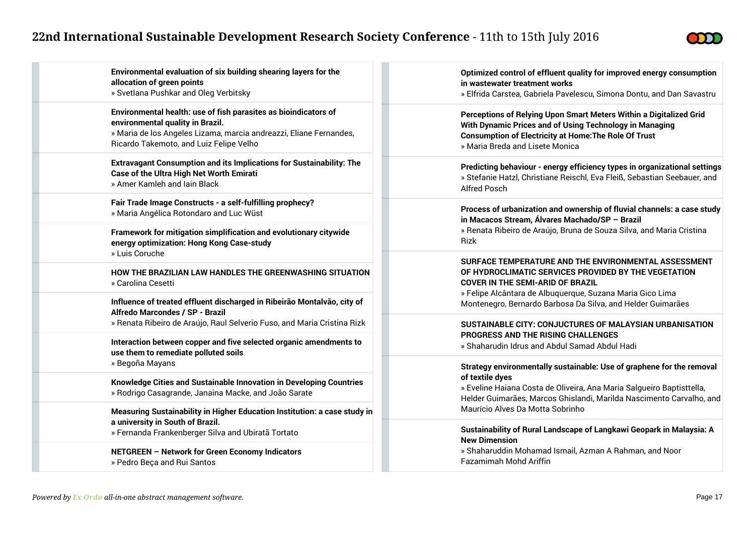

| Environmental evaluation of six building shearing layers for the                                                            | Optimized control of effluent quality for improved energy consumption                                                                                            |  |
|-----------------------------------------------------------------------------------------------------------------------------|------------------------------------------------------------------------------------------------------------------------------------------------------------------|--|
| allocation of green points                                                                                                  | in wastewater treatment works                                                                                                                                    |  |
| » Svetlana Pushkar and Oleg Verbitsky                                                                                       | » Elfrida Carstea, Gabriela Pavelescu, Simona Dontu, and Dan Savastru                                                                                            |  |
| Environmental health: use of fish parasites as bioindicators of                                                             | Perceptions of Relying Upon Smart Meters Within a Digitalized Grid                                                                                               |  |
| environmental quality in Brazil.                                                                                            | With Dynamic Prices and of Using Technology in Managing                                                                                                          |  |
| » Maria de los Angeles Lizama, marcia andreazzi, Eliane Fernandes,                                                          | <b>Consumption of Electricity at Home: The Role Of Trust</b>                                                                                                     |  |
| Ricardo Takemoto, and Luiz Felipe Velho                                                                                     | » Maria Breda and Lisete Monica                                                                                                                                  |  |
| <b>Extravagant Consumption and its Implications for Sustainability: The</b>                                                 | Predicting behaviour - energy efficiency types in organizational settings                                                                                        |  |
| <b>Case of the Ultra High Net Worth Emirati</b>                                                                             | » Stefanie Hatzl, Christiane Reischl, Eva Fleiß, Sebastian Seebauer, and                                                                                         |  |
| » Amer Kamleh and Jain Black                                                                                                | <b>Alfred Posch</b>                                                                                                                                              |  |
| Fair Trade Image Constructs - a self-fulfilling prophecy?                                                                   | Process of urbanization and ownership of fluvial channels: a case study                                                                                          |  |
| » Maria Angélica Rotondaro and Luc Wüst                                                                                     | in Macacos Stream, Álvares Machado/SP - Brazil                                                                                                                   |  |
| Framework for mitigation simplification and evolutionary citywide                                                           | » Renata Ribeiro de Araújo, Bruna de Souza Silva, and Maria Cristina                                                                                             |  |
| energy optimization: Hong Kong Case-study                                                                                   | Rizk                                                                                                                                                             |  |
| » Luis Coruche                                                                                                              | SURFACE TEMPERATURE AND THE ENVIRONMENTAL ASSESSMENT                                                                                                             |  |
| HOW THE BRAZILIAN LAW HANDLES THE GREENWASHING SITUATION                                                                    | OF HYDROCLIMATIC SERVICES PROVIDED BY THE VEGETATION                                                                                                             |  |
| » Carolina Cesetti                                                                                                          | <b>COVER IN THE SEMI-ARID OF BRAZIL</b>                                                                                                                          |  |
| Influence of treated effluent discharged in Ribeirão Montalvão, city of                                                     | » Felipe Alcântara de Albuquerque, Suzana Maria Gico Lima                                                                                                        |  |
| Alfredo Marcondes / SP - Brazil                                                                                             | Montenegro, Bernardo Barbosa Da Silva, and Helder Guimarães                                                                                                      |  |
| » Renata Ribeiro de Araújo, Raul Selverio Fuso, and Maria Cristina Rizk                                                     | SUSTAINABLE CITY: CONJUCTURES OF MALAYSIAN URBANISATION<br>PROGRESS AND THE RISING CHALLENGES                                                                    |  |
| Interaction between copper and five selected organic amendments to<br>use them to remediate polluted soils                  | » Shaharudin Idrus and Abdul Samad Abdul Hadi                                                                                                                    |  |
| » Begoña Mayans                                                                                                             | Strategy environmentally sustainable: Use of graphene for the removal                                                                                            |  |
| Knowledge Cities and Sustainable Innovation in Developing Countries<br>» Rodrigo Casagrande, Janaina Macke, and João Sarate | of textile dyes<br>» Eveline Haiana Costa de Oliveira, Ana Maria Salgueiro Baptisttella,<br>Helder Guimarães, Marcos Ghislandi, Marilda Nascimento Carvalho, and |  |
| Measuring Sustainability in Higher Education Institution: a case study in                                                   | Maurício Alves Da Motta Sobrinho                                                                                                                                 |  |
| a university in South of Brazil.                                                                                            | Sustainability of Rural Landscape of Langkawi Geopark in Malaysia: A                                                                                             |  |
| » Fernanda Frankenberger Silva and Ubiratã Tortato                                                                          | <b>New Dimension</b>                                                                                                                                             |  |
| NETGREEN - Network for Green Economy Indicators                                                                             | » Shaharuddin Mohamad Ismail, Azman A Rahman, and Noor                                                                                                           |  |
| » Pedro Beça and Rui Santos                                                                                                 | Fazamimah Mohd Ariffin                                                                                                                                           |  |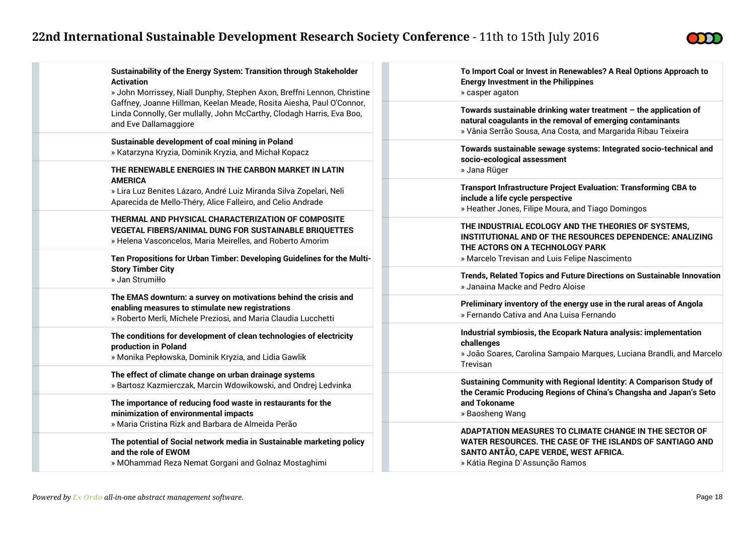

| Sustainability of the Energy System: Transition through Stakeholder<br><b>Activation</b><br>» John Morrissey, Niall Dunphy, Stephen Axon, Breffni Lennon, Christine                    | To Import Coal or Invest in Renewables? A Real Options Approach to<br><b>Energy Investment in the Philippines</b><br>» casper agaton                                                               |
|----------------------------------------------------------------------------------------------------------------------------------------------------------------------------------------|----------------------------------------------------------------------------------------------------------------------------------------------------------------------------------------------------|
| Gaffney, Joanne Hillman, Keelan Meade, Rosita Aiesha, Paul O'Connor,<br>Linda Connolly, Ger mullally, John McCarthy, Clodagh Harris, Eva Boo,<br>and Eve Dallamaggiore                 | Towards sustainable drinking water treatment $-$ the application of<br>natural coagulants in the removal of emerging contaminants<br>» Vânia Serrão Sousa, Ana Costa, and Margarida Ribau Teixeira |
| Sustainable development of coal mining in Poland<br>» Katarzyna Kryzia, Dominik Kryzia, and Michał Kopacz                                                                              | Towards sustainable sewage systems: Integrated socio-technical and<br>socio-ecological assessment                                                                                                  |
| THE RENEWABLE ENERGIES IN THE CARBON MARKET IN LATIN                                                                                                                                   | » Jana Rüger                                                                                                                                                                                       |
| <b>AMERICA</b><br>» Lira Luz Benites Lázaro, André Luiz Miranda Silva Zopelari, Neli<br>Aparecida de Mello-Théry, Alice Falleiro, and Celio Andrade                                    | <b>Transport Infrastructure Project Evaluation: Transforming CBA to</b><br>include a life cycle perspective<br>» Heather Jones, Filipe Moura, and Tiago Domingos                                   |
| THERMAL AND PHYSICAL CHARACTERIZATION OF COMPOSITE<br><b>VEGETAL FIBERS/ANIMAL DUNG FOR SUSTAINABLE BRIQUETTES</b><br>» Helena Vasconcelos, Maria Meirelles, and Roberto Amorim        | THE INDUSTRIAL ECOLOGY AND THE THEORIES OF SYSTEMS,<br>INSTITUTIONAL AND OF THE RESOURCES DEPENDENCE: ANALIZING<br>THE ACTORS ON A TECHNOLOGY PARK                                                 |
| Ten Propositions for Urban Timber: Developing Guidelines for the Multi-                                                                                                                | » Marcelo Trevisan and Luis Felipe Nascimento                                                                                                                                                      |
| <b>Story Timber City</b><br>» Jan Strumiłło                                                                                                                                            | Trends, Related Topics and Future Directions on Sustainable Innovation<br>» Janaina Macke and Pedro Aloise                                                                                         |
| The EMAS downturn: a survey on motivations behind the crisis and<br>enabling measures to stimulate new registrations<br>» Roberto Merli, Michele Preziosi, and Maria Claudia Lucchetti | Preliminary inventory of the energy use in the rural areas of Angola<br>» Fernando Cativa and Ana Luisa Fernando                                                                                   |
| The conditions for development of clean technologies of electricity<br>production in Poland<br>» Monika Pepłowska, Dominik Kryzia, and Lidia Gawlik                                    | Industrial symbiosis, the Ecopark Natura analysis: implementation<br>challenges<br>» João Soares, Carolina Sampaio Marques, Luciana Brandli, and Marcelo<br>Trevisan                               |
| The effect of climate change on urban drainage systems<br>» Bartosz Kazmierczak, Marcin Wdowikowski, and Ondrej Ledvinka                                                               | Sustaining Community with Regional Identity: A Comparison Study of<br>the Ceramic Producing Regions of China's Changsha and Japan's Seto                                                           |
| The importance of reducing food waste in restaurants for the<br>minimization of environmental impacts<br>» Maria Cristina Rizk and Barbara de Almeida Perão                            | and Tokoname<br>» Baosheng Wang                                                                                                                                                                    |
| The potential of Social network media in Sustainable marketing policy<br>and the role of EWOM<br>» MOhammad Reza Nemat Gorgani and Golnaz Mostaghimi                                   | ADAPTATION MEASURES TO CLIMATE CHANGE IN THE SECTOR OF<br>WATER RESOURCES. THE CASE OF THE ISLANDS OF SANTIAGO AND<br>SANTO ANTÃO, CAPE VERDE, WEST AFRICA.<br>» Kátia Regina D'Assunção Ramos     |
|                                                                                                                                                                                        |                                                                                                                                                                                                    |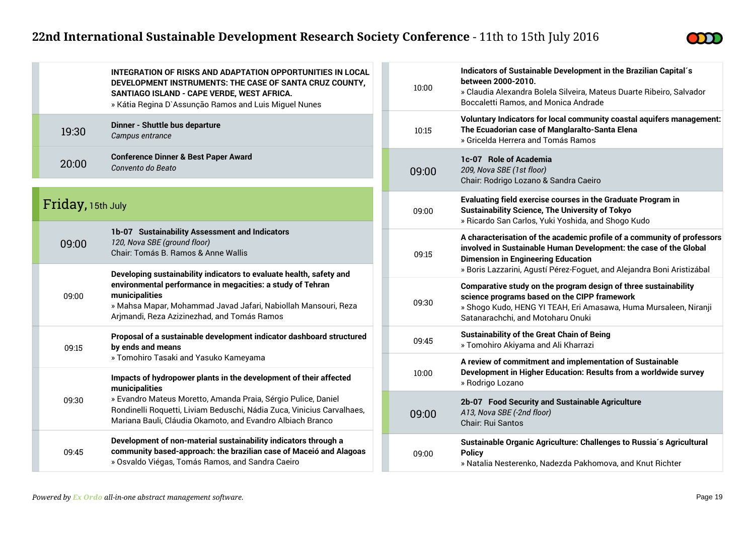

|                   | INTEGRATION OF RISKS AND ADAPTATION OPPORTUNITIES IN LOCAL<br>DEVELOPMENT INSTRUMENTS: THE CASE OF SANTA CRUZ COUNTY,<br>SANTIAGO ISLAND - CAPE VERDE, WEST AFRICA.<br>» Kátia Regina D`Assunção Ramos and Luis Miguel Nunes                                                                                                          |       | 10:00                                                                                              | Indicators of Sustainable Development in the Brazilian Capital's<br>between 2000-2010.<br>» Claudia Alexandra Bolela Silveira, Mateus Duarte Ribeiro, Salvador<br>Boccaletti Ramos, and Monica Andrade                                                              |
|-------------------|---------------------------------------------------------------------------------------------------------------------------------------------------------------------------------------------------------------------------------------------------------------------------------------------------------------------------------------|-------|----------------------------------------------------------------------------------------------------|---------------------------------------------------------------------------------------------------------------------------------------------------------------------------------------------------------------------------------------------------------------------|
| 19:30             | Dinner - Shuttle bus departure<br>Campus entrance                                                                                                                                                                                                                                                                                     |       | 10:15                                                                                              | Voluntary Indicators for local community coastal aquifers management:<br>The Ecuadorian case of Manglaralto-Santa Elena<br>» Gricelda Herrera and Tomás Ramos                                                                                                       |
| 20:00             | <b>Conference Dinner &amp; Best Paper Award</b><br>Convento do Beato                                                                                                                                                                                                                                                                  |       | 09:00                                                                                              | 1c-07 Role of Academia<br>209, Nova SBE (1st floor)<br>Chair: Rodrigo Lozano & Sandra Caeiro                                                                                                                                                                        |
| Friday, 15th July |                                                                                                                                                                                                                                                                                                                                       |       | 09:00                                                                                              | Evaluating field exercise courses in the Graduate Program in<br><b>Sustainability Science, The University of Tokyo</b><br>» Ricardo San Carlos, Yuki Yoshida, and Shogo Kudo                                                                                        |
| 09:00             | 1b-07 Sustainability Assessment and Indicators<br>120, Nova SBE (ground floor)<br>Chair: Tomás B. Ramos & Anne Wallis<br>Developing sustainability indicators to evaluate health, safety and                                                                                                                                          |       | 09:15                                                                                              | A characterisation of the academic profile of a community of professors<br>involved in Sustainable Human Development: the case of the Global<br><b>Dimension in Engineering Education</b><br>» Boris Lazzarini, Agustí Pérez-Foguet, and Alejandra Boni Aristizábal |
| 09:00             | environmental performance in megacities: a study of Tehran<br>municipalities<br>» Mahsa Mapar, Mohammad Javad Jafari, Nabiollah Mansouri, Reza<br>Arjmandi, Reza Azizinezhad, and Tomás Ramos                                                                                                                                         |       | 09:30                                                                                              | Comparative study on the program design of three sustainability<br>science programs based on the CIPP framework<br>» Shogo Kudo, HENG YI TEAH, Eri Amasawa, Huma Mursaleen, Niranji<br>Satanarachchi, and Motoharu Onuki                                            |
| 09:15             | Proposal of a sustainable development indicator dashboard structured<br>by ends and means                                                                                                                                                                                                                                             |       | 09:45                                                                                              | <b>Sustainability of the Great Chain of Being</b><br>» Tomohiro Akiyama and Ali Kharrazi                                                                                                                                                                            |
|                   | » Tomohiro Tasaki and Yasuko Kameyama<br>Impacts of hydropower plants in the development of their affected<br>municipalities<br>» Evandro Mateus Moretto, Amanda Praia, Sérgio Pulice, Daniel<br>Rondinelli Roquetti, Liviam Beduschi, Nádia Zuca, Vinicius Carvalhaes,<br>Mariana Bauli, Cláudia Okamoto, and Evandro Albiach Branco |       | 10:00                                                                                              | A review of commitment and implementation of Sustainable<br>Development in Higher Education: Results from a worldwide survey<br>» Rodrigo Lozano                                                                                                                    |
| 09:30             |                                                                                                                                                                                                                                                                                                                                       | 09:00 | 2b-07 Food Security and Sustainable Agriculture<br>A13, Nova SBE (-2nd floor)<br>Chair: Rui Santos |                                                                                                                                                                                                                                                                     |
| 09:45             | Development of non-material sustainability indicators through a<br>community based-approach: the brazilian case of Maceió and Alagoas<br>» Osvaldo Viégas, Tomás Ramos, and Sandra Caeiro                                                                                                                                             |       | 09:00                                                                                              | Sustainable Organic Agriculture: Challenges to Russia's Agricultural<br><b>Policy</b><br>» Natalia Nesterenko, Nadezda Pakhomova, and Knut Richter                                                                                                                  |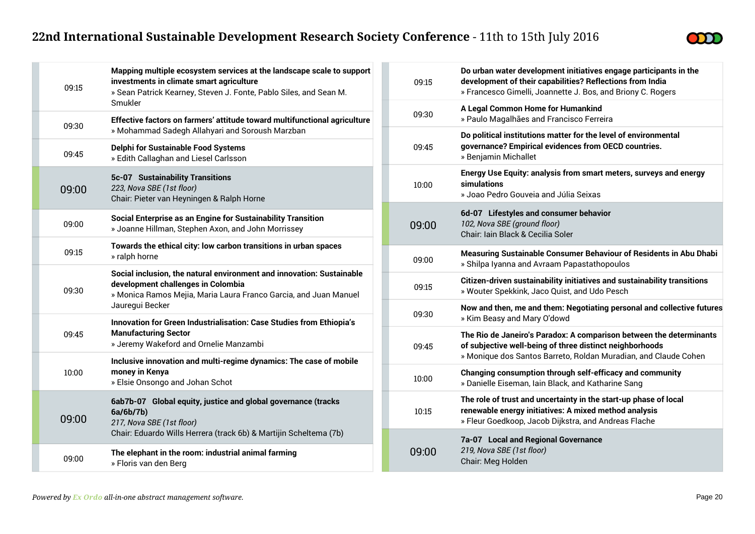

| 09:15 | Mapping multiple ecosystem services at the landscape scale to support<br>investments in climate smart agriculture<br>» Sean Patrick Kearney, Steven J. Fonte, Pablo Siles, and Sean M.                                           |  | 09:15 | Do urbai<br>develop<br>» France  |
|-------|----------------------------------------------------------------------------------------------------------------------------------------------------------------------------------------------------------------------------------|--|-------|----------------------------------|
|       | Smukler<br>Effective factors on farmers' attitude toward multifunctional agriculture<br>09:30<br>» Mohammad Sadegh Allahyari and Soroush Marzban<br>Delphi for Sustainable Food Systems<br>» Edith Callaghan and Liesel Carlsson |  | 09:30 | A Legal<br>» Paulo               |
| 09:45 |                                                                                                                                                                                                                                  |  | 09:45 | Do politi<br>governa<br>» Benjan |
| 09:00 | 5c-07 Sustainability Transitions<br>223, Nova SBE (1st floor)<br>Chair: Pieter van Heyningen & Ralph Horne                                                                                                                       |  | 10:00 | Energy L<br>simulati<br>» Joao F |
| 09:00 | Social Enterprise as an Engine for Sustainability Transition<br>» Joanne Hillman, Stephen Axon, and John Morrissey                                                                                                               |  | 09:00 | 6d-07 l<br>102, Nov<br>Chair: la |
| 09:15 | Towards the ethical city: low carbon transitions in urban spaces<br>» ralph horne                                                                                                                                                |  | 09:00 | <b>Measuri</b><br>» Shilpa       |
| 09:30 | Social inclusion, the natural environment and innovation: Sustainable<br>development challenges in Colombia<br>» Monica Ramos Mejia, Maria Laura Franco Garcia, and Juan Manuel                                                  |  | 09:15 | Citizen-<br>» Wouter             |
|       | Jauregui Becker<br>Innovation for Green Industrialisation: Case Studies from Ethiopia's<br><b>Manufacturing Sector</b><br>09:45<br>» Jeremy Wakeford and Ornelie Manzambi                                                        |  | 09:30 | Now and<br>» Kim Be              |
|       |                                                                                                                                                                                                                                  |  | 09:45 | <b>The Rio</b><br>of subje       |
| 10:00 | Inclusive innovation and multi-regime dynamics: The case of mobile<br>money in Kenya<br>» Elsie Onsongo and Johan Schot                                                                                                          |  | 10:00 | » Moniq<br>Changin<br>» Daniell  |
| 09:00 | 6ab7b-07 Global equity, justice and global governance (tracks<br>6a/6b/7b)<br>217, Nova SBE (1st floor)                                                                                                                          |  | 10:15 | The role<br>renewab<br>» Fleur G |
| 09:00 | Chair: Eduardo Wills Herrera (track 6b) & Martijin Scheltema (7b)<br>The elephant in the room: industrial animal farming<br>» Floris van den Berg                                                                                |  | 09:00 | 7a-07 L<br>219, Nov<br>Chair: M  |
|       |                                                                                                                                                                                                                                  |  |       |                                  |

| 09:15 | Do urban water development initiatives engage participants in the<br>development of their capabilities? Reflections from India<br>» Francesco Gimelli, Joannette J. Bos, and Briony C. Rogers      |
|-------|----------------------------------------------------------------------------------------------------------------------------------------------------------------------------------------------------|
| 09:30 | A Legal Common Home for Humankind<br>» Paulo Magalhães and Francisco Ferreira                                                                                                                      |
| 09:45 | Do political institutions matter for the level of environmental<br>governance? Empirical evidences from OECD countries.<br>» Benjamin Michallet                                                    |
| 10:00 | Energy Use Equity: analysis from smart meters, surveys and energy<br>simulations<br>» Joao Pedro Gouveia and Júlia Seixas                                                                          |
| 09:00 | 6d-07 Lifestyles and consumer behavior<br>102, Nova SBE (ground floor)<br>Chair: Iain Black & Cecilia Soler                                                                                        |
| 09:00 | Measuring Sustainable Consumer Behaviour of Residents in Abu Dhabi<br>» Shilpa Iyanna and Avraam Papastathopoulos                                                                                  |
| 09:15 | Citizen-driven sustainability initiatives and sustainability transitions<br>» Wouter Spekkink, Jaco Quist, and Udo Pesch                                                                           |
| 09:30 | Now and then, me and them: Negotiating personal and collective futures<br>» Kim Beasy and Mary O'dowd                                                                                              |
| 09:45 | The Rio de Janeiro's Paradox: A comparison between the determinants<br>of subjective well-being of three distinct neighborhoods<br>» Monique dos Santos Barreto, Roldan Muradian, and Claude Cohen |
| 10:00 | Changing consumption through self-efficacy and community<br>» Danielle Eiseman, Iain Black, and Katharine Sang                                                                                     |
| 10:15 | The role of trust and uncertainty in the start-up phase of local<br>renewable energy initiatives: A mixed method analysis<br>» Fleur Goedkoop, Jacob Dijkstra, and Andreas Flache                  |
| 09:00 | 7a-07 Local and Regional Governance<br>219, Nova SBE (1st floor)<br>Chair: Meg Holden                                                                                                              |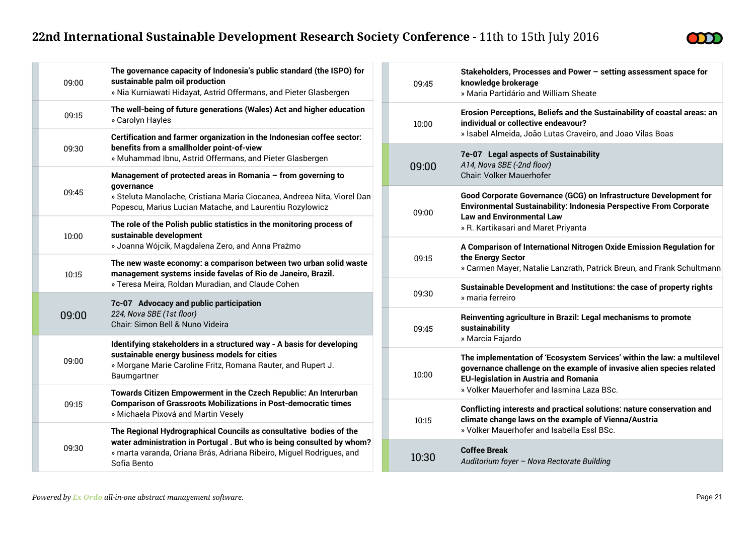

| 09:00 | The governance capacity of Indonesia's public standard (the ISPO) for<br>sustainable palm oil production<br>» Nia Kurniawati Hidayat, Astrid Offermans, and Pieter Glasbergen                                                      |
|-------|------------------------------------------------------------------------------------------------------------------------------------------------------------------------------------------------------------------------------------|
| 09:15 | The well-being of future generations (Wales) Act and higher education<br>» Carolyn Hayles                                                                                                                                          |
| 09:30 | Certification and farmer organization in the Indonesian coffee sector:<br>benefits from a smallholder point-of-view<br>» Muhammad Ibnu, Astrid Offermans, and Pieter Glasbergen                                                    |
| 09:45 | Management of protected areas in Romania - from governing to<br>qovernance<br>» Steluta Manolache, Cristiana Maria Ciocanea, Andreea Nita, Viorel Dan<br>Popescu, Marius Lucian Matache, and Laurentiu Rozylowicz                  |
| 10:00 | The role of the Polish public statistics in the monitoring process of<br>sustainable development<br>» Joanna Wójcik, Magdalena Zero, and Anna Prażmo                                                                               |
| 10:15 | The new waste economy: a comparison between two urban solid waste<br>management systems inside favelas of Rio de Janeiro, Brazil.<br>» Teresa Meira, Roldan Muradian, and Claude Cohen                                             |
| 09:00 | 7c-07 Advocacy and public participation<br>224, Nova SBE (1st floor)<br>Chair: Simon Bell & Nuno Videira                                                                                                                           |
| 09:00 | Identifying stakeholders in a structured way - A basis for developing<br>sustainable energy business models for cities<br>» Morgane Marie Caroline Fritz, Romana Rauter, and Rupert J.<br>Baumgartner                              |
| 09:15 | Towards Citizen Empowerment in the Czech Republic: An Interurban<br><b>Comparison of Grassroots Mobilizations in Post-democratic times</b><br>» Michaela Pixová and Martin Vesely                                                  |
| 09:30 | The Regional Hydrographical Councils as consultative bodies of the<br>water administration in Portugal. But who is being consulted by whom?<br>» marta varanda, Oriana Brás, Adriana Ribeiro, Miguel Rodrigues, and<br>Sofia Bento |

| 09:45 | Stakeholders, Processes and Power - setting assessment space for<br>knowledge brokerage<br>» Maria Partidário and William Sheate                                                                                                              |
|-------|-----------------------------------------------------------------------------------------------------------------------------------------------------------------------------------------------------------------------------------------------|
| 10:00 | Erosion Perceptions, Beliefs and the Sustainability of coastal areas: an<br>individual or collective endeavour?<br>» Isabel Almeida, João Lutas Craveiro, and Joao Vilas Boas                                                                 |
| 09:00 | 7e-07 Legal aspects of Sustainability<br>A14, Nova SBE (-2nd floor)<br>Chair: Volker Mauerhofer                                                                                                                                               |
| 09:00 | Good Corporate Governance (GCG) on Infrastructure Development for<br>Environmental Sustainability: Indonesia Perspective From Corporate<br><b>Law and Environmental Law</b><br>» R. Kartikasari and Maret Priyanta                            |
| 09:15 | A Comparison of International Nitrogen Oxide Emission Regulation for<br>the Energy Sector<br>» Carmen Mayer, Natalie Lanzrath, Patrick Breun, and Frank Schultmann                                                                            |
| 09:30 | Sustainable Development and Institutions: the case of property rights<br>» maria ferreiro                                                                                                                                                     |
| 09:45 | Reinventing agriculture in Brazil: Legal mechanisms to promote<br>sustainability<br>» Marcia Fajardo                                                                                                                                          |
| 10:00 | The implementation of 'Ecosystem Services' within the law: a multilevel<br>governance challenge on the example of invasive alien species related<br><b>EU-legislation in Austria and Romania</b><br>» Volker Mauerhofer and Iasmina Laza BSc. |
| 10:15 | Conflicting interests and practical solutions: nature conservation and<br>climate change laws on the example of Vienna/Austria<br>» Volker Mauerhofer and Isabella Essl BSc.                                                                  |
| 10:30 | <b>Coffee Break</b><br>Auditorium foyer - Nova Rectorate Building                                                                                                                                                                             |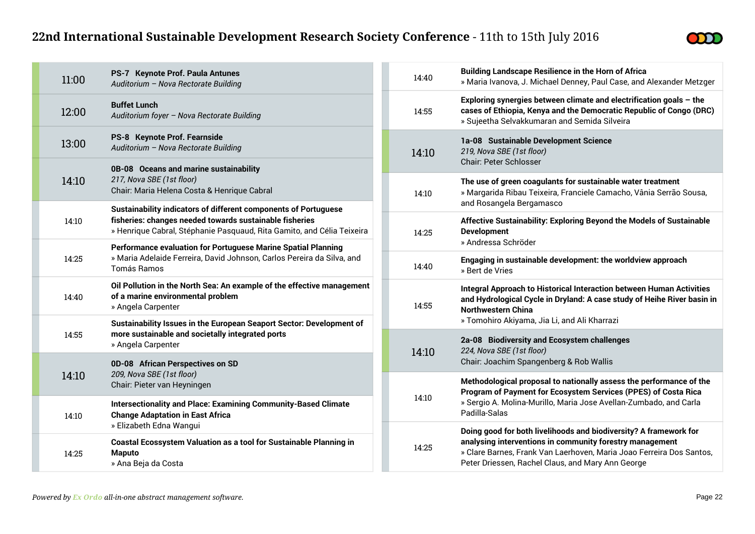

| 11:00 | PS-7 Keynote Prof. Paula Antunes<br>Auditorium - Nova Rectorate Building                                                                                                                             |  | 14:40 | <b>Building Landscape Resilience in the Horn of Africa</b><br>» Maria Ivanova, J. Michael Denney, Paul Case, and Alexander Metzger                                                           |  |
|-------|------------------------------------------------------------------------------------------------------------------------------------------------------------------------------------------------------|--|-------|----------------------------------------------------------------------------------------------------------------------------------------------------------------------------------------------|--|
| 12:00 | <b>Buffet Lunch</b><br>Auditorium foyer - Nova Rectorate Building                                                                                                                                    |  | 14:55 | Exploring synergies between climate and electrification goals $-$ the<br>cases of Ethiopia, Kenya and the Democratic Republic of Congo (DRC)<br>» Sujeetha Selvakkumaran and Semida Silveira |  |
| 13:00 | PS-8 Keynote Prof. Fearnside<br>Auditorium - Nova Rectorate Building                                                                                                                                 |  | 14:10 | 1a-08 Sustainable Development Science<br>219, Nova SBE (1st floor)<br><b>Chair: Peter Schlosser</b>                                                                                          |  |
| 14:10 | 0B-08 Oceans and marine sustainability<br>217, Nova SBE (1st floor)<br>Chair: Maria Helena Costa & Henrique Cabral                                                                                   |  | 14:10 | The use of green coagulants for sustainable water treatment<br>» Margarida Ribau Teixeira, Franciele Camacho, Vânia Serrão Sousa,<br>and Rosangela Bergamasco                                |  |
| 14:10 | Sustainability indicators of different components of Portuguese<br>fisheries: changes needed towards sustainable fisheries<br>» Henrique Cabral, Stéphanie Pasquaud, Rita Gamito, and Célia Teixeira |  | 14:25 | Affective Sustainability: Exploring Beyond the Models of Sustainable<br><b>Development</b><br>» Andressa Schröder                                                                            |  |
| 14:25 | Performance evaluation for Portuguese Marine Spatial Planning<br>» Maria Adelaide Ferreira, David Johnson, Carlos Pereira da Silva, and<br>Tomás Ramos                                               |  | 14:40 | Engaging in sustainable development: the worldview approach<br>» Bert de Vries                                                                                                               |  |
| 14:40 | Oil Pollution in the North Sea: An example of the effective management<br>of a marine environmental problem<br>» Angela Carpenter                                                                    |  | 14:55 | Integral Approach to Historical Interaction between Human Activities<br>and Hydrological Cycle in Dryland: A case study of Heihe River basin in<br><b>Northwestern China</b>                 |  |
| 14:55 | Sustainability Issues in the European Seaport Sector: Development of<br>more sustainable and societally integrated ports<br>» Angela Carpenter                                                       |  |       | » Tomohiro Akiyama, Jia Li, and Ali Kharrazi                                                                                                                                                 |  |
|       |                                                                                                                                                                                                      |  | 14:10 | 2a-08 Biodiversity and Ecosystem challenges<br>224, Nova SBE (1st floor)                                                                                                                     |  |
|       | 0D-08 African Perspectives on SD<br>209, Nova SBE (1st floor)<br>Chair: Pieter van Heyningen                                                                                                         |  |       | Chair: Joachim Spangenberg & Rob Wallis                                                                                                                                                      |  |
| 14:10 |                                                                                                                                                                                                      |  |       | Methodological proposal to nationally assess the performance of the<br>Program of Payment for Ecosystem Services (PPES) of Costa Rica                                                        |  |
| 14:10 | <b>Intersectionality and Place: Examining Community-Based Climate</b><br><b>Change Adaptation in East Africa</b>                                                                                     |  | 14:10 | » Sergio A. Molina-Murillo, Maria Jose Avellan-Zumbado, and Carla<br>Padilla-Salas                                                                                                           |  |
|       | » Elizabeth Edna Wangui                                                                                                                                                                              |  |       | Doing good for both livelihoods and biodiversity? A framework for<br>analysing interventions in community forestry management                                                                |  |
| 14:25 | <b>Coastal Ecossystem Valuation as a tool for Sustainable Planning in</b><br><b>Maputo</b><br>» Ana Beja da Costa                                                                                    |  | 14:25 | » Clare Barnes, Frank Van Laerhoven, Maria Joao Ferreira Dos Santos,<br>Peter Driessen, Rachel Claus, and Mary Ann George                                                                    |  |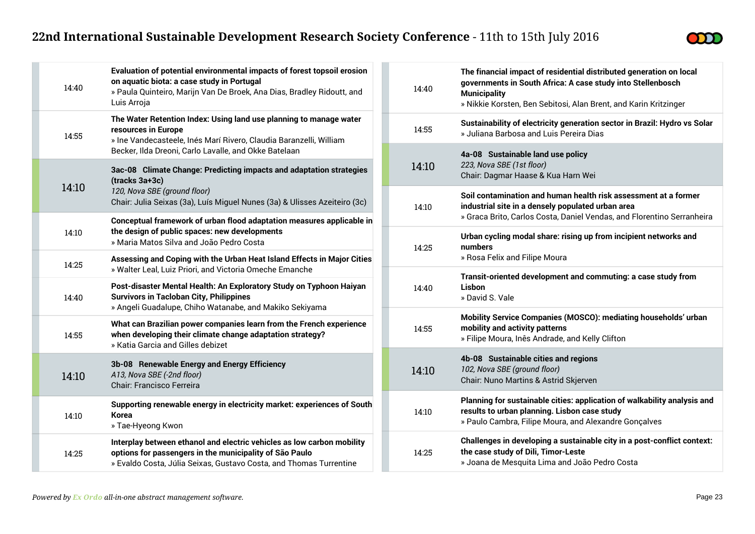

| 14:40 | Evaluation of potential environmental impacts of forest topsoil erosion<br>on aquatic biota: a case study in Portugal<br>» Paula Quinteiro, Marijn Van De Broek, Ana Dias, Bradley Ridoutt, and<br>Luis Arroja           |
|-------|--------------------------------------------------------------------------------------------------------------------------------------------------------------------------------------------------------------------------|
| 14:55 | The Water Retention Index: Using land use planning to manage water<br>resources in Europe<br>» Ine Vandecasteele, Inés Marí Rivero, Claudia Baranzelli, William<br>Becker, Ilda Dreoni, Carlo Lavalle, and Okke Batelaan |
| 14:10 | 3ac-08 Climate Change: Predicting impacts and adaptation strategies<br>(tracks 3a+3c)<br>120, Nova SBE (ground floor)<br>Chair: Julia Seixas (3a), Luís Miguel Nunes (3a) & Ulisses Azeiteiro (3c)                       |
| 14:10 | Conceptual framework of urban flood adaptation measures applicable in<br>the design of public spaces: new developments<br>» Maria Matos Silva and João Pedro Costa                                                       |
| 14:25 | Assessing and Coping with the Urban Heat Island Effects in Major Cities<br>» Walter Leal, Luiz Priori, and Victoria Omeche Emanche                                                                                       |
| 14:40 | Post-disaster Mental Health: An Exploratory Study on Typhoon Haiyan<br><b>Survivors in Tacloban City, Philippines</b><br>» Angeli Guadalupe, Chiho Watanabe, and Makiko Sekiyama                                         |
| 14:55 | What can Brazilian power companies learn from the French experience<br>when developing their climate change adaptation strategy?<br>» Katia Garcia and Gilles debizet                                                    |
| 14:10 | 3b-08 Renewable Energy and Energy Efficiency<br>A13, Nova SBE (-2nd floor)<br><b>Chair: Francisco Ferreira</b>                                                                                                           |
| 14:10 | Supporting renewable energy in electricity market: experiences of South<br><b>Korea</b><br>» Tae-Hyeong Kwon                                                                                                             |
| 14:25 | Interplay between ethanol and electric vehicles as low carbon mobility<br>options for passengers in the municipality of São Paulo<br>» Evaldo Costa, Júlia Seixas, Gustavo Costa, and Thomas Turrentine                  |

| 14:40 | The financial impact of residential distributed generation on local<br>governments in South Africa: A case study into Stellenbosch<br><b>Municipality</b><br>» Nikkie Korsten, Ben Sebitosi, Alan Brent, and Karin Kritzinger |
|-------|-------------------------------------------------------------------------------------------------------------------------------------------------------------------------------------------------------------------------------|
| 14:55 | Sustainability of electricity generation sector in Brazil: Hydro vs Solar<br>» Juliana Barbosa and Luis Pereira Dias                                                                                                          |
| 14:10 | 4a-08 Sustainable land use policy<br>223, Nova SBE (1st floor)<br>Chair: Dagmar Haase & Kua Harn Wei                                                                                                                          |
| 14:10 | Soil contamination and human health risk assessment at a former<br>industrial site in a densely populated urban area<br>» Graca Brito, Carlos Costa, Daniel Vendas, and Florentino Serranheira                                |
| 14:25 | Urban cycling modal share: rising up from incipient networks and<br>numbers<br>» Rosa Felix and Filipe Moura                                                                                                                  |
| 14:40 | Transit-oriented development and commuting: a case study from<br>Lisbon<br>» David S. Vale                                                                                                                                    |
| 14:55 | Mobility Service Companies (MOSCO): mediating households' urban<br>mobility and activity patterns<br>» Filipe Moura, Inês Andrade, and Kelly Clifton                                                                          |
| 14:10 | 4b-08 Sustainable cities and regions<br>102, Nova SBE (ground floor)<br>Chair: Nuno Martins & Astrid Skjerven                                                                                                                 |
| 14:10 | Planning for sustainable cities: application of walkability analysis and<br>results to urban planning. Lisbon case study<br>» Paulo Cambra, Filipe Moura, and Alexandre Gonçalves                                             |
| 14:25 | Challenges in developing a sustainable city in a post-conflict context:<br>the case study of Dili, Timor-Leste<br>» Joana de Mesquita Lima and João Pedro Costa                                                               |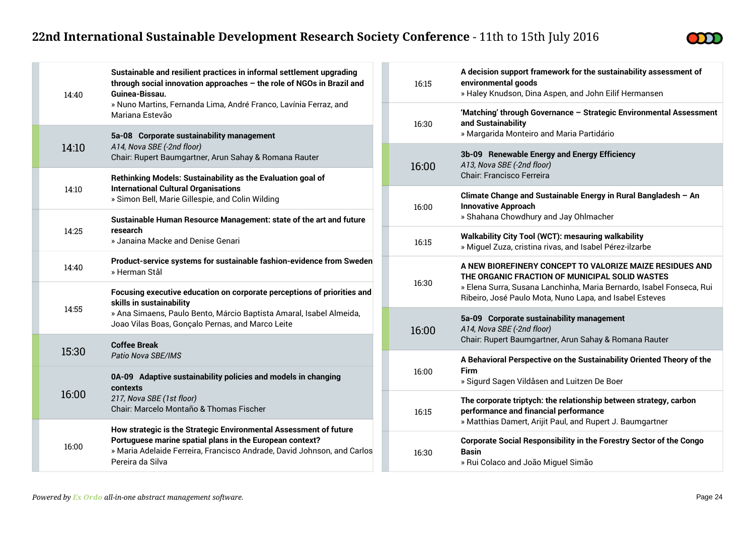

|                | 14:40                                                                                                                                                                                                                                                                                           | Sustainable and resilient practices in informal settlement upgrading<br>through social innovation approaches - the role of NGOs in Brazil and<br>Guinea-Bissau.                                                              | 16:15 |                              | A decis<br>enviror<br>» Haley                      |
|----------------|-------------------------------------------------------------------------------------------------------------------------------------------------------------------------------------------------------------------------------------------------------------------------------------------------|------------------------------------------------------------------------------------------------------------------------------------------------------------------------------------------------------------------------------|-------|------------------------------|----------------------------------------------------|
|                | » Nuno Martins, Fernanda Lima, André Franco, Lavínia Ferraz, and<br>Mariana Estevão<br>5a-08 Corporate sustainability management<br>A14, Nova SBE (-2nd floor)<br>14:10<br>Chair: Rupert Baumgartner, Arun Sahay & Romana Rauter<br>Rethinking Models: Sustainability as the Evaluation goal of |                                                                                                                                                                                                                              |       | 16:30                        | 'Match<br>and Su                                   |
|                |                                                                                                                                                                                                                                                                                                 |                                                                                                                                                                                                                              |       |                              | » Marg<br>$3b-09$                                  |
|                |                                                                                                                                                                                                                                                                                                 |                                                                                                                                                                                                                              |       | 16:00                        | A13, No<br>Chair: I                                |
|                | 14:10                                                                                                                                                                                                                                                                                           | <b>International Cultural Organisations</b><br>» Simon Bell, Marie Gillespie, and Colin Wilding                                                                                                                              |       | 16:00                        | <b>Climat</b><br>Innova                            |
|                | 14:25                                                                                                                                                                                                                                                                                           | Sustainable Human Resource Management: state of the art and future<br>research<br>» Janaina Macke and Denise Genari                                                                                                          |       | 16:15                        | » Shah<br>Walkal                                   |
| 14:40<br>14:55 | Product-service systems for sustainable fashion-evidence from Sweden<br>» Herman Stål                                                                                                                                                                                                           |                                                                                                                                                                                                                              |       | » Migu<br><b>A NEW</b>       |                                                    |
|                |                                                                                                                                                                                                                                                                                                 | Focusing executive education on corporate perceptions of priorities and<br>skills in sustainability                                                                                                                          |       | 16:30                        | THE OI<br>» Elena<br>Ribeirc<br>$5a-09$<br>A14, No |
|                |                                                                                                                                                                                                                                                                                                 | » Ana Simaens, Paulo Bento, Márcio Baptista Amaral, Isabel Almeida,<br>Joao Vilas Boas, Gonçalo Pernas, and Marco Leite<br><b>Coffee Break</b><br>15:30<br>Patio Nova SBE/IMS                                                |       | 16:00                        |                                                    |
|                |                                                                                                                                                                                                                                                                                                 |                                                                                                                                                                                                                              |       |                              | Chair: I<br>A Beha                                 |
|                |                                                                                                                                                                                                                                                                                                 | 0A-09 Adaptive sustainability policies and models in changing<br>contexts<br>217, Nova SBE (1st floor)<br>Chair: Marcelo Montaño & Thomas Fischer                                                                            |       | 16:00                        | Firm<br>» Sigur                                    |
|                | 16:00                                                                                                                                                                                                                                                                                           |                                                                                                                                                                                                                              | 16:15 | The co<br>perforr<br>» Mattl |                                                    |
|                | 16:00                                                                                                                                                                                                                                                                                           | How strategic is the Strategic Environmental Assessment of future<br>Portuguese marine spatial plans in the European context?<br>» Maria Adelaide Ferreira, Francisco Andrade, David Johnson, and Carlos<br>Pereira da Silva |       | 16:30                        | Corpor<br>Basin<br>» Rui C                         |

| 16:15 | A decision support framework for the sustainability assessment of<br>environmental goods<br>» Haley Knudson, Dina Aspen, and John Eilif Hermansen                                                                                             |
|-------|-----------------------------------------------------------------------------------------------------------------------------------------------------------------------------------------------------------------------------------------------|
| 16:30 | 'Matching' through Governance - Strategic Environmental Assessment<br>and Sustainability<br>» Margarida Monteiro and Maria Partidário                                                                                                         |
| 16:00 | 3b-09 Renewable Energy and Energy Efficiency<br>A13, Nova SBE (-2nd floor)<br>Chair: Francisco Ferreira                                                                                                                                       |
| 16:00 | Climate Change and Sustainable Energy in Rural Bangladesh - An<br><b>Innovative Approach</b><br>» Shahana Chowdhury and Jay Ohlmacher                                                                                                         |
| 16:15 | <b>Walkability City Tool (WCT): mesauring walkability</b><br>» Miguel Zuza, cristina rivas, and Isabel Pérez-ilzarbe                                                                                                                          |
| 16:30 | A NEW BIOREFINERY CONCEPT TO VALORIZE MAIZE RESIDUES AND<br>THE ORGANIC FRACTION OF MUNICIPAL SOLID WASTES<br>» Elena Surra, Susana Lanchinha, Maria Bernardo, Isabel Fonseca, Rui<br>Ribeiro, José Paulo Mota, Nuno Lapa, and Isabel Esteves |
| 16:00 | 5a-09 Corporate sustainability management<br>A14, Nova SBE (-2nd floor)<br>Chair: Rupert Baumgartner, Arun Sahay & Romana Rauter                                                                                                              |
| 16:00 | A Behavioral Perspective on the Sustainability Oriented Theory of the<br>Firm<br>» Sigurd Sagen Vildåsen and Luitzen De Boer                                                                                                                  |
| 16:15 | The corporate triptych: the relationship between strategy, carbon<br>performance and financial performance<br>» Matthias Damert, Arijit Paul, and Rupert J. Baumgartner                                                                       |
| 16:30 | <b>Corporate Social Responsibility in the Forestry Sector of the Congo</b><br><b>Basin</b><br>» Rui Colaco and João Miguel Simão                                                                                                              |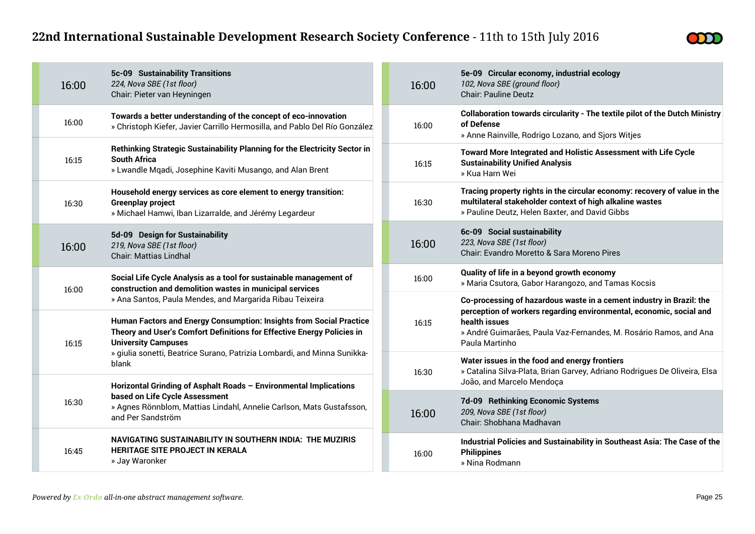

| 5c-09 Sustainability Transitions<br>224, Nova SBE (1st floor)<br>16:00<br>Chair: Pieter van Heyningen                                                                                                                                            |       | 16:00                                                                                                                                                   | 5e-09 Circular economy, industrial ecology<br>102, Nova SBE (ground floor)<br><b>Chair: Pauline Deutz</b>                                                                                                                                           |
|--------------------------------------------------------------------------------------------------------------------------------------------------------------------------------------------------------------------------------------------------|-------|---------------------------------------------------------------------------------------------------------------------------------------------------------|-----------------------------------------------------------------------------------------------------------------------------------------------------------------------------------------------------------------------------------------------------|
| Towards a better understanding of the concept of eco-innovation<br>16:00<br>» Christoph Kiefer, Javier Carrillo Hermosilla, and Pablo Del Río González                                                                                           |       | 16:00                                                                                                                                                   | Collaboration towards circularity - The textile pilot of the Dutch Ministry<br>of Defense<br>» Anne Rainville, Rodrigo Lozano, and Sjors Witjes                                                                                                     |
| Rethinking Strategic Sustainability Planning for the Electricity Sector in<br><b>South Africa</b><br>16:15<br>» Lwandle Mqadi, Josephine Kaviti Musango, and Alan Brent                                                                          |       | 16:15                                                                                                                                                   | Toward More Integrated and Holistic Assessment with Life Cycle<br><b>Sustainability Unified Analysis</b><br>» Kua Harn Wei                                                                                                                          |
| Household energy services as core element to energy transition:<br><b>Greenplay project</b><br>16:30<br>» Michael Hamwi, Iban Lizarralde, and Jérémy Legardeur                                                                                   |       | 16:30                                                                                                                                                   | Tracing property rights in the circular economy: recovery of value in the<br>multilateral stakeholder context of high alkaline wastes<br>» Pauline Deutz, Helen Baxter, and David Gibbs                                                             |
| 5d-09 Design for Sustainability<br>219, Nova SBE (1st floor)<br>16:00<br><b>Chair: Mattias Lindhal</b>                                                                                                                                           |       | 16:00                                                                                                                                                   | 6c-09 Social sustainability<br>223, Nova SBE (1st floor)<br>Chair: Evandro Moretto & Sara Moreno Pires                                                                                                                                              |
| Social Life Cycle Analysis as a tool for sustainable management of<br>construction and demolition wastes in municipal services<br>16:00                                                                                                          |       | 16:00                                                                                                                                                   | Quality of life in a beyond growth economy<br>» Maria Csutora, Gabor Harangozo, and Tamas Kocsis                                                                                                                                                    |
| » Ana Santos, Paula Mendes, and Margarida Ribau Teixeira<br>Human Factors and Energy Consumption: Insights from Social Practice<br>Theory and User's Comfort Definitions for Effective Energy Policies in<br><b>University Campuses</b><br>16:15 |       | 16:15                                                                                                                                                   | Co-processing of hazardous waste in a cement industry in Brazil: the<br>perception of workers regarding environmental, economic, social and<br>health issues<br>» André Guimarães, Paula Vaz-Fernandes, M. Rosário Ramos, and Ana<br>Paula Martinho |
| » giulia sonetti, Beatrice Surano, Patrizia Lombardi, and Minna Sunikka-<br>blank                                                                                                                                                                | 16:30 | Water issues in the food and energy frontiers<br>» Catalina Silva-Plata, Brian Garvey, Adriano Rodrigues De Oliveira, Elsa<br>João, and Marcelo Mendoça |                                                                                                                                                                                                                                                     |
| Horizontal Grinding of Asphalt Roads - Environmental Implications<br>based on Life Cycle Assessment<br>16:30<br>» Agnes Rönnblom, Mattias Lindahl, Annelie Carlson, Mats Gustafsson,<br>and Per Sandström                                        |       | 16:00                                                                                                                                                   | 7d-09 Rethinking Economic Systems<br>209, Nova SBE (1st floor)<br>Chair: Shobhana Madhavan                                                                                                                                                          |
| NAVIGATING SUSTAINABILITY IN SOUTHERN INDIA: THE MUZIRIS<br><b>HERITAGE SITE PROJECT IN KERALA</b><br>16:45<br>» Jay Waronker                                                                                                                    |       | 16:00                                                                                                                                                   | Industrial Policies and Sustainability in Southeast Asia: The Case of the<br><b>Philippines</b><br>» Nina Rodmann                                                                                                                                   |